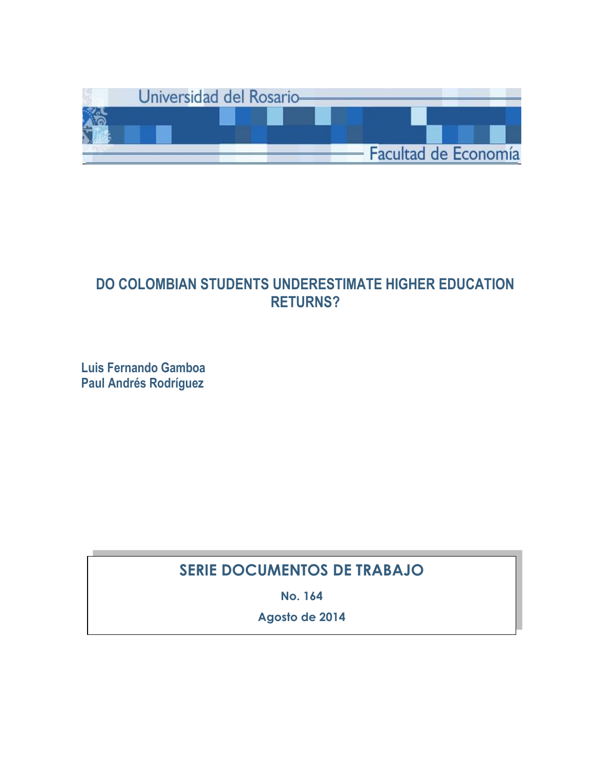

## **DO COLOMBIAN STUDENTS UNDERESTIMATE HIGHER EDUCATION RETURNS?**

**Luis Fernando Gamboa Paul Andrés Rodríguez**

## **SERIE DOCUMENTOS DE TRABAJO**

**No. 164**

**Agosto de 2014**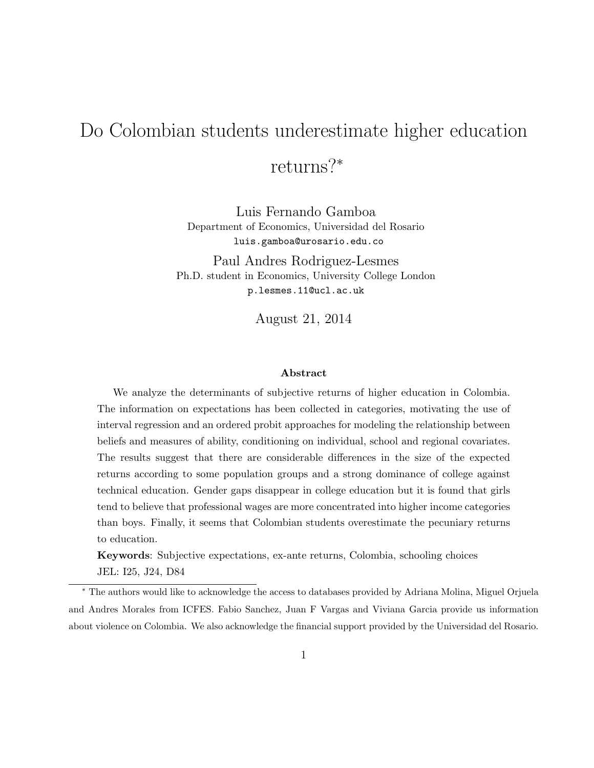# <span id="page-1-0"></span>Do Colombian students underestimate higher education returns?<sup>∗</sup>

Luis Fernando Gamboa Department of Economics, Universidad del Rosario [luis.gamboa@urosario.edu.co](mailto:luis.gamboa@urosario.edu.co)

Paul Andres Rodriguez-Lesmes Ph.D. student in Economics, University College London [p.lesmes.11@ucl.ac.uk](mailto:p.lesmes.11@ucl.ac.uk)

August 21, 2014

#### Abstract

We analyze the determinants of subjective returns of higher education in Colombia. The information on expectations has been collected in categories, motivating the use of interval regression and an ordered probit approaches for modeling the relationship between beliefs and measures of ability, conditioning on individual, school and regional covariates. The results suggest that there are considerable differences in the size of the expected returns according to some population groups and a strong dominance of college against technical education. Gender gaps disappear in college education but it is found that girls tend to believe that professional wages are more concentrated into higher income categories than boys. Finally, it seems that Colombian students overestimate the pecuniary returns to education.

Keywords: Subjective expectations, ex-ante returns, Colombia, schooling choices JEL: I25, J24, D84

<sup>∗</sup> The authors would like to acknowledge the access to databases provided by Adriana Molina, Miguel Orjuela and Andres Morales from ICFES. Fabio Sanchez, Juan F Vargas and Viviana Garcia provide us information about violence on Colombia. We also acknowledge the financial support provided by the Universidad del Rosario.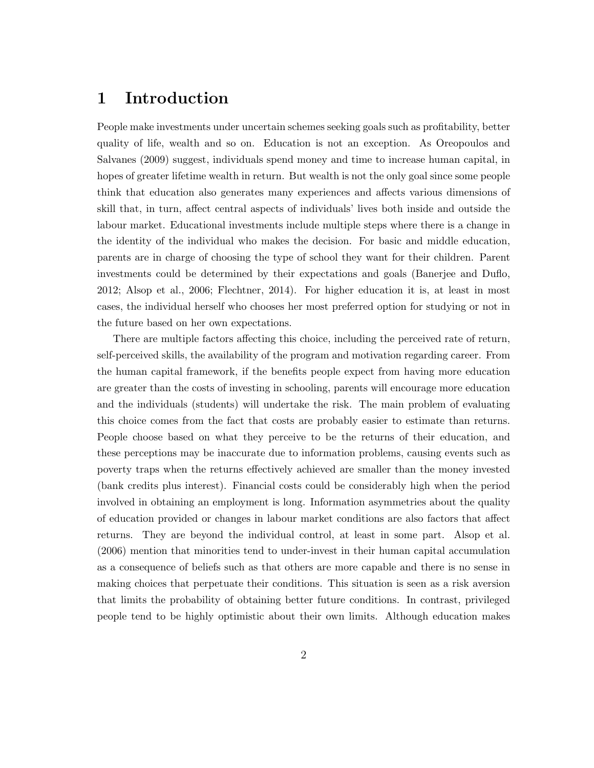### 1 Introduction

People make investments under uncertain schemes seeking goals such as profitability, better quality of life, wealth and so on. Education is not an exception. As [Oreopoulos and](#page-21-0) [Salvanes](#page-21-0) [\(2009\)](#page-21-0) suggest, individuals spend money and time to increase human capital, in hopes of greater lifetime wealth in return. But wealth is not the only goal since some people think that education also generates many experiences and affects various dimensions of skill that, in turn, affect central aspects of individuals' lives both inside and outside the labour market. Educational investments include multiple steps where there is a change in the identity of the individual who makes the decision. For basic and middle education, parents are in charge of choosing the type of school they want for their children. Parent investments could be determined by their expectations and goals [\(Banerjee and Duflo,](#page-20-0) [2012;](#page-20-0) [Alsop et al., 2006;](#page-20-1) [Flechtner, 2014\)](#page-20-2). For higher education it is, at least in most cases, the individual herself who chooses her most preferred option for studying or not in the future based on her own expectations.

There are multiple factors affecting this choice, including the perceived rate of return, self-perceived skills, the availability of the program and motivation regarding career. From the human capital framework, if the benefits people expect from having more education are greater than the costs of investing in schooling, parents will encourage more education and the individuals (students) will undertake the risk. The main problem of evaluating this choice comes from the fact that costs are probably easier to estimate than returns. People choose based on what they perceive to be the returns of their education, and these perceptions may be inaccurate due to information problems, causing events such as poverty traps when the returns effectively achieved are smaller than the money invested (bank credits plus interest). Financial costs could be considerably high when the period involved in obtaining an employment is long. Information asymmetries about the quality of education provided or changes in labour market conditions are also factors that affect returns. They are beyond the individual control, at least in some part. [Alsop et al.](#page-20-1) [\(2006\)](#page-20-1) mention that minorities tend to under-invest in their human capital accumulation as a consequence of beliefs such as that others are more capable and there is no sense in making choices that perpetuate their conditions. This situation is seen as a risk aversion that limits the probability of obtaining better future conditions. In contrast, privileged people tend to be highly optimistic about their own limits. Although education makes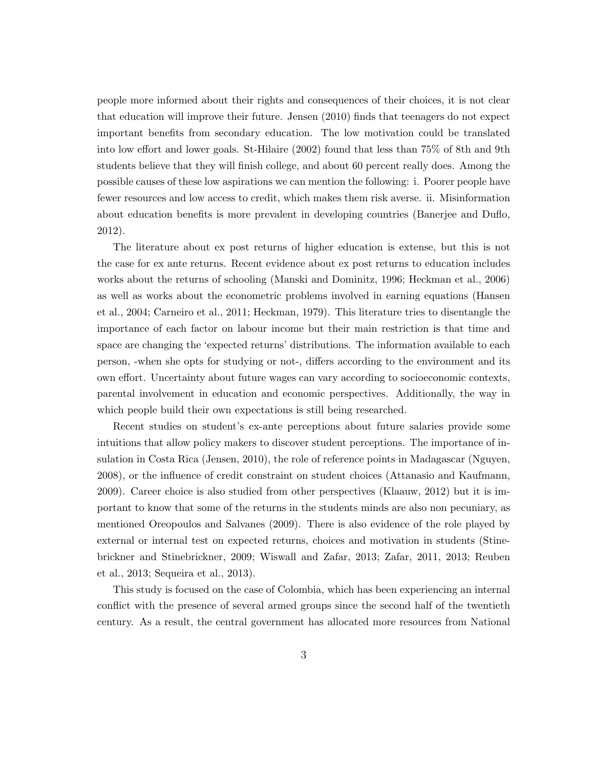people more informed about their rights and consequences of their choices, it is not clear that education will improve their future. [Jensen](#page-21-1) [\(2010\)](#page-21-1) finds that teenagers do not expect important benefits from secondary education. The low motivation could be translated into low effort and lower goals. [St-Hilaire](#page-21-2) [\(2002\)](#page-21-2) found that less than 75% of 8th and 9th students believe that they will finish college, and about 60 percent really does. Among the possible causes of these low aspirations we can mention the following: i. Poorer people have fewer resources and low access to credit, which makes them risk averse. ii. Misinformation about education benefits is more prevalent in developing countries [\(Banerjee and Duflo,](#page-20-0) [2012\)](#page-20-0).

The literature about ex post returns of higher education is extense, but this is not the case for ex ante returns. Recent evidence about ex post returns to education includes works about the returns of schooling [\(Manski and Dominitz, 1996;](#page-21-3) [Heckman et al., 2006\)](#page-21-4) as well as works about the econometric problems involved in earning equations [\(Hansen](#page-20-3) [et al., 2004;](#page-20-3) [Carneiro et al., 2011;](#page-20-4) [Heckman, 1979\)](#page-20-5). This literature tries to disentangle the importance of each factor on labour income but their main restriction is that time and space are changing the 'expected returns' distributions. The information available to each person, -when she opts for studying or not-, differs according to the environment and its own effort. Uncertainty about future wages can vary according to socioeconomic contexts, parental involvement in education and economic perspectives. Additionally, the way in which people build their own expectations is still being researched.

Recent studies on student's ex-ante perceptions about future salaries provide some intuitions that allow policy makers to discover student perceptions. The importance of insulation in Costa Rica [\(Jensen, 2010\)](#page-21-1), the role of reference points in Madagascar [\(Nguyen,](#page-21-5) [2008\)](#page-21-5), or the influence of credit constraint on student choices [\(Attanasio and Kaufmann,](#page-20-6) [2009\)](#page-20-6). Career choice is also studied from other perspectives [\(Klaauw, 2012\)](#page-21-6) but it is important to know that some of the returns in the students minds are also non pecuniary, as mentioned [Oreopoulos and Salvanes](#page-21-0) [\(2009\)](#page-21-0). There is also evidence of the role played by external or internal test on expected returns, choices and motivation in students [\(Stine](#page-21-7)[brickner and Stinebrickner, 2009;](#page-21-7) [Wiswall and Zafar, 2013;](#page-22-0) [Zafar, 2011,](#page-22-1) [2013;](#page-22-2) [Reuben](#page-21-8) [et al., 2013;](#page-21-8) [Sequeira et al., 2013\)](#page-21-9).

This study is focused on the case of Colombia, which has been experiencing an internal conflict with the presence of several armed groups since the second half of the twentieth century. As a result, the central government has allocated more resources from National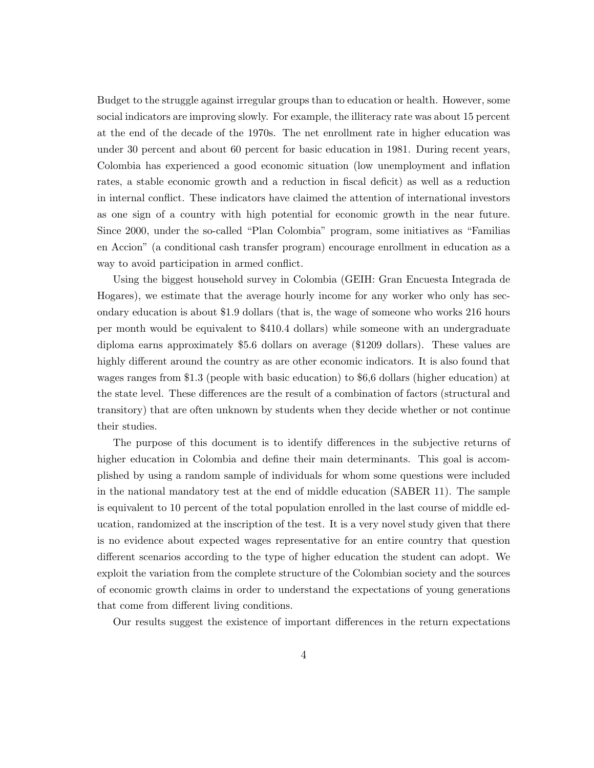Budget to the struggle against irregular groups than to education or health. However, some social indicators are improving slowly. For example, the illiteracy rate was about 15 percent at the end of the decade of the 1970s. The net enrollment rate in higher education was under 30 percent and about 60 percent for basic education in 1981. During recent years, Colombia has experienced a good economic situation (low unemployment and inflation rates, a stable economic growth and a reduction in fiscal deficit) as well as a reduction in internal conflict. These indicators have claimed the attention of international investors as one sign of a country with high potential for economic growth in the near future. Since 2000, under the so-called "Plan Colombia" program, some initiatives as "Familias en Accion" (a conditional cash transfer program) encourage enrollment in education as a way to avoid participation in armed conflict.

Using the biggest household survey in Colombia (GEIH: Gran Encuesta Integrada de Hogares), we estimate that the average hourly income for any worker who only has secondary education is about \$1.9 dollars (that is, the wage of someone who works 216 hours per month would be equivalent to \$410.4 dollars) while someone with an undergraduate diploma earns approximately \$5.6 dollars on average (\$1209 dollars). These values are highly different around the country as are other economic indicators. It is also found that wages ranges from \$1.3 (people with basic education) to \$6,6 dollars (higher education) at the state level. These differences are the result of a combination of factors (structural and transitory) that are often unknown by students when they decide whether or not continue their studies.

The purpose of this document is to identify differences in the subjective returns of higher education in Colombia and define their main determinants. This goal is accomplished by using a random sample of individuals for whom some questions were included in the national mandatory test at the end of middle education (SABER 11). The sample is equivalent to 10 percent of the total population enrolled in the last course of middle education, randomized at the inscription of the test. It is a very novel study given that there is no evidence about expected wages representative for an entire country that question different scenarios according to the type of higher education the student can adopt. We exploit the variation from the complete structure of the Colombian society and the sources of economic growth claims in order to understand the expectations of young generations that come from different living conditions.

Our results suggest the existence of important differences in the return expectations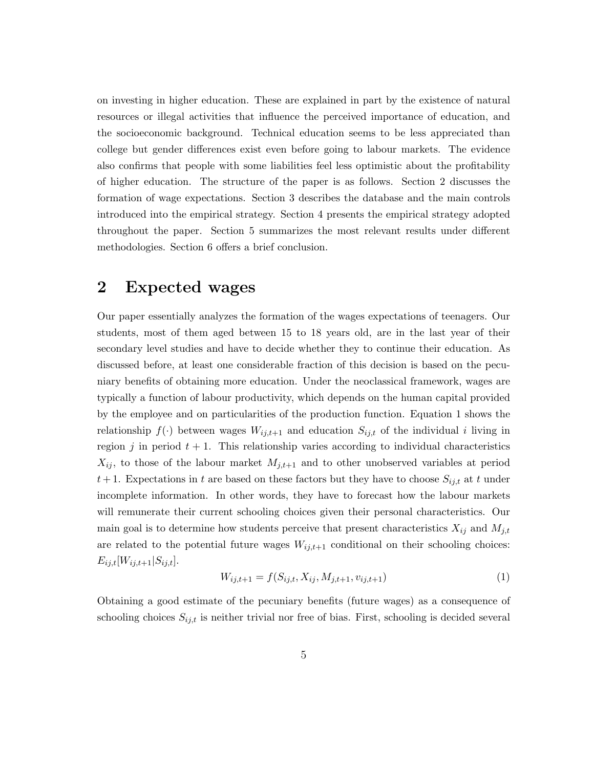on investing in higher education. These are explained in part by the existence of natural resources or illegal activities that influence the perceived importance of education, and the socioeconomic background. Technical education seems to be less appreciated than college but gender differences exist even before going to labour markets. The evidence also confirms that people with some liabilities feel less optimistic about the profitability of higher education. The structure of the paper is as follows. Section 2 discusses the formation of wage expectations. Section 3 describes the database and the main controls introduced into the empirical strategy. Section 4 presents the empirical strategy adopted throughout the paper. Section 5 summarizes the most relevant results under different methodologies. Section 6 offers a brief conclusion.

#### <span id="page-5-1"></span>2 Expected wages

Our paper essentially analyzes the formation of the wages expectations of teenagers. Our students, most of them aged between 15 to 18 years old, are in the last year of their secondary level studies and have to decide whether they to continue their education. As discussed before, at least one considerable fraction of this decision is based on the pecuniary benefits of obtaining more education. Under the neoclassical framework, wages are typically a function of labour productivity, which depends on the human capital provided by the employee and on particularities of the production function. Equation [1](#page-5-0) shows the relationship  $f(\cdot)$  between wages  $W_{ij,t+1}$  and education  $S_{ij,t}$  of the individual i living in region j in period  $t + 1$ . This relationship varies according to individual characteristics  $X_{ij}$ , to those of the labour market  $M_{j,t+1}$  and to other unobserved variables at period  $t+1$ . Expectations in t are based on these factors but they have to choose  $S_{ij,t}$  at t under incomplete information. In other words, they have to forecast how the labour markets will remunerate their current schooling choices given their personal characteristics. Our main goal is to determine how students perceive that present characteristics  $X_{ij}$  and  $M_{j,t}$ are related to the potential future wages  $W_{ij,t+1}$  conditional on their schooling choices:  $E_{ij,t}[W_{ij,t+1}|S_{ij,t}].$ 

<span id="page-5-0"></span>
$$
W_{ij,t+1} = f(S_{ij,t}, X_{ij}, M_{j,t+1}, v_{ij,t+1})
$$
\n(1)

Obtaining a good estimate of the pecuniary benefits (future wages) as a consequence of schooling choices  $S_{ij,t}$  is neither trivial nor free of bias. First, schooling is decided several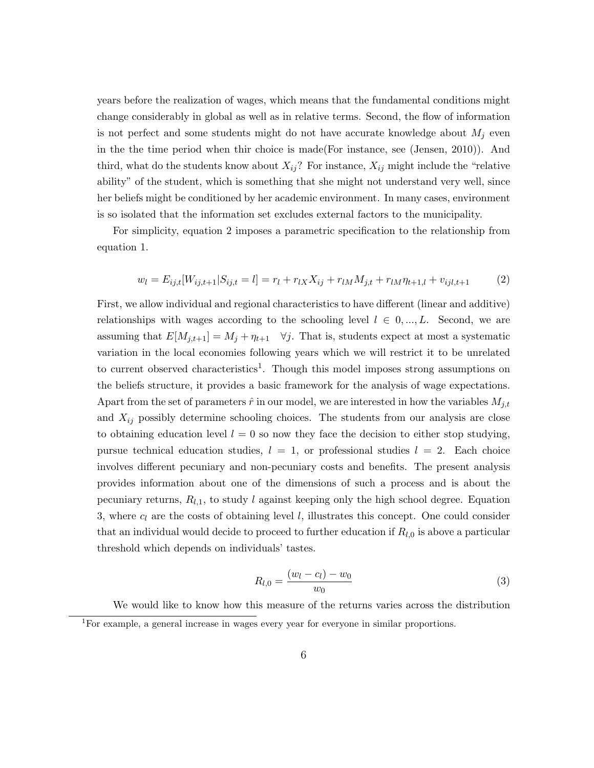years before the realization of wages, which means that the fundamental conditions might change considerably in global as well as in relative terms. Second, the flow of information is not perfect and some students might do not have accurate knowledge about  $M_i$  even in the the time period when thir choice is made(For instance, see [\(Jensen, 2010\)](#page-21-1)). And third, what do the students know about  $X_{ij}$ ? For instance,  $X_{ij}$  might include the "relative" ability" of the student, which is something that she might not understand very well, since her beliefs might be conditioned by her academic environment. In many cases, environment is so isolated that the information set excludes external factors to the municipality.

For simplicity, equation [2](#page-6-0) imposes a parametric specification to the relationship from equation [1.](#page-5-0)

<span id="page-6-0"></span>
$$
w_l = E_{ij,t}[W_{ij,t+1}|S_{ij,t} = l] = r_l + r_{lX}X_{ij} + r_{lM}M_{j,t} + r_{lM}\eta_{t+1,l} + v_{ij,l,t+1}
$$
(2)

First, we allow individual and regional characteristics to have different (linear and additive) relationships with wages according to the schooling level  $l \in 0, ..., L$ . Second, we are assuming that  $E[M_{j,t+1}] = M_j + \eta_{t+1}$   $\forall j$ . That is, students expect at most a systematic variation in the local economies following years which we will restrict it to be unrelated to current observed characteristics<sup>[1](#page-1-0)</sup>. Though this model imposes strong assumptions on the beliefs structure, it provides a basic framework for the analysis of wage expectations. Apart from the set of parameters  $\hat{r}$  in our model, we are interested in how the variables  $M_{j,t}$ and  $X_{ij}$  possibly determine schooling choices. The students from our analysis are close to obtaining education level  $l = 0$  so now they face the decision to either stop studying, pursue technical education studies,  $l = 1$ , or professional studies  $l = 2$ . Each choice involves different pecuniary and non-pecuniary costs and benefits. The present analysis provides information about one of the dimensions of such a process and is about the pecuniary returns,  $R_{l,1}$ , to study l against keeping only the high school degree. Equation [3,](#page-6-1) where  $c_l$  are the costs of obtaining level l, illustrates this concept. One could consider that an individual would decide to proceed to further education if  $R_{l,0}$  is above a particular threshold which depends on individuals' tastes.

<span id="page-6-1"></span>
$$
R_{l,0} = \frac{(w_l - c_l) - w_0}{w_0} \tag{3}
$$

We would like to know how this measure of the returns varies across the distribution  ${}^{1}$ For example, a general increase in wages every year for everyone in similar proportions.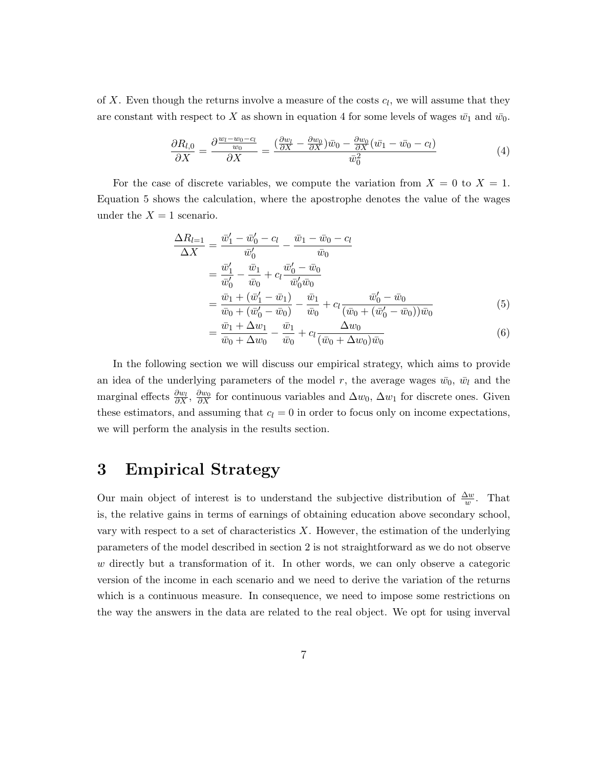of X. Even though the returns involve a measure of the costs  $c_l$ , we will assume that they are constant with respect to X as shown in equation [4](#page-7-0) for some levels of wages  $\bar{w_1}$  and  $\bar{w_0}$ .

<span id="page-7-0"></span>
$$
\frac{\partial R_{l,0}}{\partial X} = \frac{\partial \frac{w_l - w_0 - c_l}{w_0}}{\partial X} = \frac{\left(\frac{\partial w_l}{\partial X} - \frac{\partial w_0}{\partial X}\right)\bar{w}_0 - \frac{\partial w_0}{\partial X}(\bar{w}_1 - \bar{w}_0 - c_l)}{\bar{w}_0^2} \tag{4}
$$

For the case of discrete variables, we compute the variation from  $X = 0$  to  $X = 1$ . Equation [5](#page-7-1) shows the calculation, where the apostrophe denotes the value of the wages under the  $X = 1$  scenario.

$$
\frac{\Delta R_{l=1}}{\Delta X} = \frac{\bar{w}_1' - \bar{w}_0' - c_l}{\bar{w}_0'} - \frac{\bar{w}_1 - \bar{w}_0 - c_l}{\bar{w}_0} \n= \frac{\bar{w}_1'}{\bar{w}_0'} - \frac{\bar{w}_1}{\bar{w}_0} + c_l \frac{\bar{w}_0' - \bar{w}_0}{\bar{w}_0' \bar{w}_0} \n= \frac{\bar{w}_1 + (\bar{w}_1' - \bar{w}_1)}{\bar{w}_0 + (\bar{w}_0' - \bar{w}_0)} - \frac{\bar{w}_1}{\bar{w}_0} + c_l \frac{\bar{w}_0' - \bar{w}_0}{(\bar{w}_0 + (\bar{w}_0' - \bar{w}_0)) \bar{w}_0} \n= \frac{\bar{w}_1 + \Delta w_1}{\bar{w}_1 + \Delta w_2} \frac{\bar{w}_1}{\Delta w_0} - \Delta w_0
$$
\n(5)

<span id="page-7-1"></span>
$$
= \frac{\bar{w}_1 + \Delta w_1}{\bar{w}_0 + \Delta w_0} - \frac{\bar{w}_1}{\bar{w}_0} + c_l \frac{\Delta w_0}{(\bar{w}_0 + \Delta w_0)\bar{w}_0} \tag{6}
$$

In the following section we will discuss our empirical strategy, which aims to provide an idea of the underlying parameters of the model r, the average wages  $\bar{w}_0$ ,  $\bar{w}_l$  and the marginal effects  $\frac{\partial w_0}{\partial X}$ ,  $\frac{\partial w_0}{\partial X}$  for continuous variables and  $\Delta w_0$ ,  $\Delta w_1$  for discrete ones. Given these estimators, and assuming that  $c_l = 0$  in order to focus only on income expectations, we will perform the analysis in the results section.

### 3 Empirical Strategy

Our main object of interest is to understand the subjective distribution of  $\frac{\Delta w}{w}$ . That is, the relative gains in terms of earnings of obtaining education above secondary school, vary with respect to a set of characteristics  $X$ . However, the estimation of the underlying parameters of the model described in section [2](#page-5-1) is not straightforward as we do not observe w directly but a transformation of it. In other words, we can only observe a categoric version of the income in each scenario and we need to derive the variation of the returns which is a continuous measure. In consequence, we need to impose some restrictions on the way the answers in the data are related to the real object. We opt for using inverval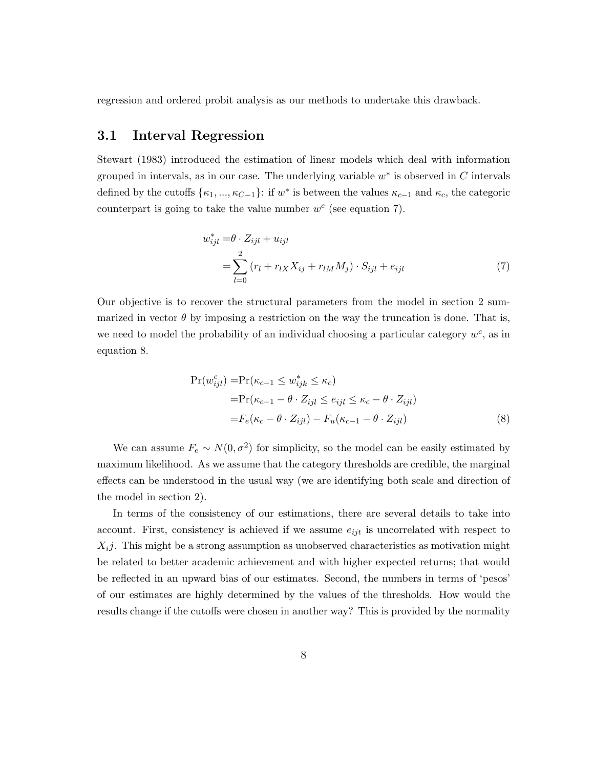regression and ordered probit analysis as our methods to undertake this drawback.

#### 3.1 Interval Regression

[Stewart](#page-21-10) [\(1983\)](#page-21-10) introduced the estimation of linear models which deal with information grouped in intervals, as in our case. The underlying variable  $w^*$  is observed in C intervals defined by the cutoffs  $\{\kappa_1, ..., \kappa_{C-1}\}$ : if w<sup>\*</sup> is between the values  $\kappa_{c-1}$  and  $\kappa_c$ , the categoric counterpart is going to take the value number  $w^c$  (see equation [7\)](#page-8-0).

<span id="page-8-0"></span>
$$
w_{ijl}^* = \theta \cdot Z_{ijl} + u_{ijl}
$$
  
= 
$$
\sum_{l=0}^{2} (r_l + r_{lX}X_{ij} + r_{lM}M_j) \cdot S_{ijl} + e_{ijl}
$$
 (7)

Our objective is to recover the structural parameters from the model in section [2](#page-5-1) summarized in vector  $\theta$  by imposing a restriction on the way the truncation is done. That is, we need to model the probability of an individual choosing a particular category  $w^c$ , as in equation [8.](#page-8-1)

<span id="page-8-1"></span>
$$
Pr(w_{ijl}^c) = Pr(\kappa_{c-1} \le w_{ijk}^* \le \kappa_c)
$$
  
= 
$$
Pr(\kappa_{c-1} - \theta \cdot Z_{ijl} \le e_{ijl} \le \kappa_c - \theta \cdot Z_{ijl})
$$
  
= 
$$
F_e(\kappa_c - \theta \cdot Z_{ijl}) - F_u(\kappa_{c-1} - \theta \cdot Z_{ijl})
$$
 (8)

We can assume  $F_e \sim N(0, \sigma^2)$  for simplicity, so the model can be easily estimated by maximum likelihood. As we assume that the category thresholds are credible, the marginal effects can be understood in the usual way (we are identifying both scale and direction of the model in section [2\)](#page-5-1).

In terms of the consistency of our estimations, there are several details to take into account. First, consistency is achieved if we assume  $e_{ijt}$  is uncorrelated with respect to  $X_{i,j}$ . This might be a strong assumption as unobserved characteristics as motivation might be related to better academic achievement and with higher expected returns; that would be reflected in an upward bias of our estimates. Second, the numbers in terms of 'pesos' of our estimates are highly determined by the values of the thresholds. How would the results change if the cutoffs were chosen in another way? This is provided by the normality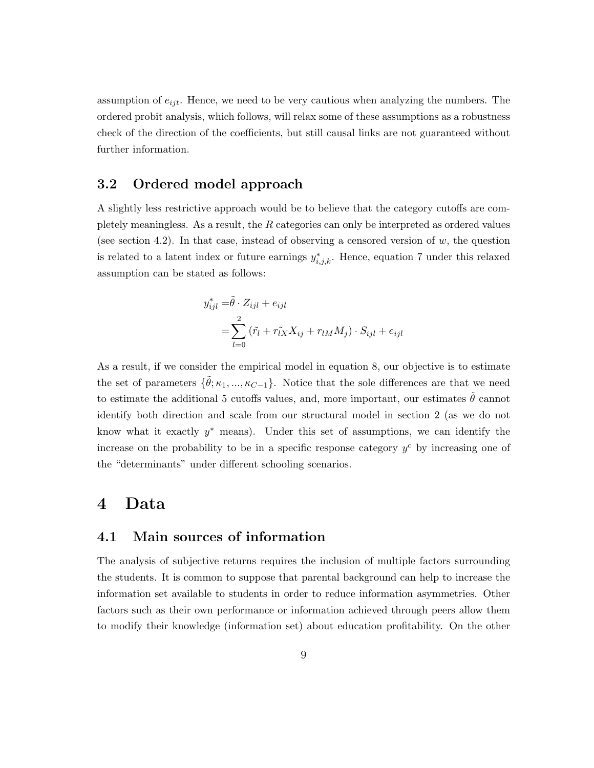assumption of  $e_{ijt}$ . Hence, we need to be very cautious when analyzing the numbers. The ordered probit analysis, which follows, will relax some of these assumptions as a robustness check of the direction of the coefficients, but still causal links are not guaranteed without further information.

#### 3.2 Ordered model approach

A slightly less restrictive approach would be to believe that the category cutoffs are completely meaningless. As a result, the R categories can only be interpreted as ordered values (see section [4.2\)](#page-12-0). In that case, instead of observing a censored version of  $w$ , the question is related to a latent index or future earnings  $y_{i,j,k}^*$ . Hence, equation [7](#page-8-0) under this relaxed assumption can be stated as follows:

$$
y_{ijl}^* = \tilde{\theta} \cdot Z_{ijl} + e_{ijl}
$$
  
= 
$$
\sum_{l=0}^2 (\tilde{r}_l + r_{lX} X_{ij} + r_{lM} M_j) \cdot S_{ijl} + e_{ijl}
$$

As a result, if we consider the empirical model in equation [8,](#page-8-1) our objective is to estimate the set of parameters  $\{\tilde{\theta}; \kappa_1, ..., \kappa_{C-1}\}$ . Notice that the sole differences are that we need to estimate the additional 5 cutoffs values, and, more important, our estimates  $\tilde{\theta}$  cannot identify both direction and scale from our structural model in section [2](#page-5-1) (as we do not know what it exactly  $y^*$  means). Under this set of assumptions, we can identify the increase on the probability to be in a specific response category  $y^c$  by increasing one of the "determinants" under different schooling scenarios.

#### 4 Data

#### 4.1 Main sources of information

The analysis of subjective returns requires the inclusion of multiple factors surrounding the students. It is common to suppose that parental background can help to increase the information set available to students in order to reduce information asymmetries. Other factors such as their own performance or information achieved through peers allow them to modify their knowledge (information set) about education profitability. On the other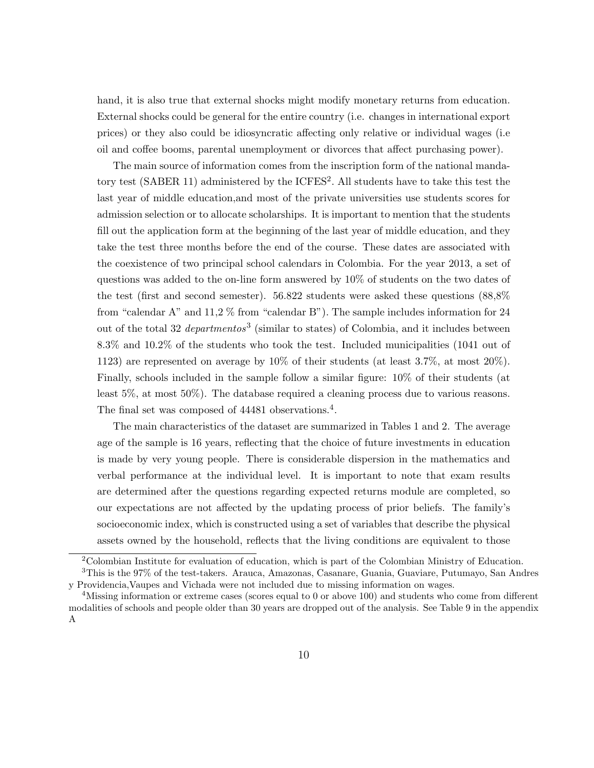hand, it is also true that external shocks might modify monetary returns from education. External shocks could be general for the entire country (i.e. changes in international export prices) or they also could be idiosyncratic affecting only relative or individual wages (i.e oil and coffee booms, parental unemployment or divorces that affect purchasing power).

The main source of information comes from the inscription form of the national mandatory test (SABER 11) administered by the  $ICFES<sup>2</sup>$  $ICFES<sup>2</sup>$  $ICFES<sup>2</sup>$ . All students have to take this test the last year of middle education,and most of the private universities use students scores for admission selection or to allocate scholarships. It is important to mention that the students fill out the application form at the beginning of the last year of middle education, and they take the test three months before the end of the course. These dates are associated with the coexistence of two principal school calendars in Colombia. For the year 2013, a set of questions was added to the on-line form answered by 10% of students on the two dates of the test (first and second semester). 56.822 students were asked these questions (88,8% from "calendar A" and 11,2 % from "calendar B"). The sample includes information for 24 out of the total [3](#page-1-0)2 *departmentos*<sup>3</sup> (similar to states) of Colombia, and it includes between 8.3% and 10.2% of the students who took the test. Included municipalities (1041 out of 1123) are represented on average by 10% of their students (at least 3.7%, at most 20%). Finally, schools included in the sample follow a similar figure: 10% of their students (at least 5%, at most 50%). The database required a cleaning process due to various reasons. The final set was composed of [4](#page-1-0)4481 observations.<sup>4</sup>.

The main characteristics of the dataset are summarized in Tables [1](#page-25-0) and [2.](#page-26-0) The average age of the sample is 16 years, reflecting that the choice of future investments in education is made by very young people. There is considerable dispersion in the mathematics and verbal performance at the individual level. It is important to note that exam results are determined after the questions regarding expected returns module are completed, so our expectations are not affected by the updating process of prior beliefs. The family's socioeconomic index, which is constructed using a set of variables that describe the physical assets owned by the household, reflects that the living conditions are equivalent to those

<sup>2</sup>Colombian Institute for evaluation of education, which is part of the Colombian Ministry of Education. <sup>3</sup>This is the 97% of the test-takers. Arauca, Amazonas, Casanare, Guania, Guaviare, Putumayo, San Andres

y Providencia,Vaupes and Vichada were not included due to missing information on wages.

<sup>4</sup>Missing information or extreme cases (scores equal to 0 or above 100) and students who come from different modalities of schools and people older than 30 years are dropped out of the analysis. See Table [9](#page-33-0) in the appendix [A](#page-33-1)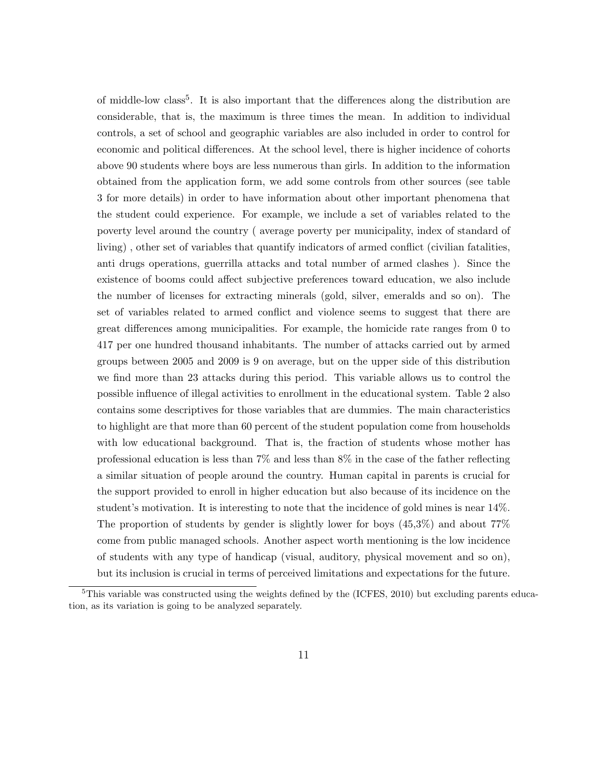of middle-low class<sup>[5](#page-1-0)</sup>. It is also important that the differences along the distribution are considerable, that is, the maximum is three times the mean. In addition to individual controls, a set of school and geographic variables are also included in order to control for economic and political differences. At the school level, there is higher incidence of cohorts above 90 students where boys are less numerous than girls. In addition to the information obtained from the application form, we add some controls from other sources (see table [3](#page-27-0) for more details) in order to have information about other important phenomena that the student could experience. For example, we include a set of variables related to the poverty level around the country ( average poverty per municipality, index of standard of living) , other set of variables that quantify indicators of armed conflict (civilian fatalities, anti drugs operations, guerrilla attacks and total number of armed clashes ). Since the existence of booms could affect subjective preferences toward education, we also include the number of licenses for extracting minerals (gold, silver, emeralds and so on). The set of variables related to armed conflict and violence seems to suggest that there are great differences among municipalities. For example, the homicide rate ranges from 0 to 417 per one hundred thousand inhabitants. The number of attacks carried out by armed groups between 2005 and 2009 is 9 on average, but on the upper side of this distribution we find more than 23 attacks during this period. This variable allows us to control the possible influence of illegal activities to enrollment in the educational system. Table [2](#page-26-0) also contains some descriptives for those variables that are dummies. The main characteristics to highlight are that more than 60 percent of the student population come from households with low educational background. That is, the fraction of students whose mother has professional education is less than 7% and less than 8% in the case of the father reflecting a similar situation of people around the country. Human capital in parents is crucial for the support provided to enroll in higher education but also because of its incidence on the student's motivation. It is interesting to note that the incidence of gold mines is near 14%. The proportion of students by gender is slightly lower for boys (45,3%) and about 77% come from public managed schools. Another aspect worth mentioning is the low incidence of students with any type of handicap (visual, auditory, physical movement and so on), but its inclusion is crucial in terms of perceived limitations and expectations for the future.

 $5$ This variable was constructed using the weights defined by the [\(ICFES, 2010\)](#page-21-11) but excluding parents education, as its variation is going to be analyzed separately.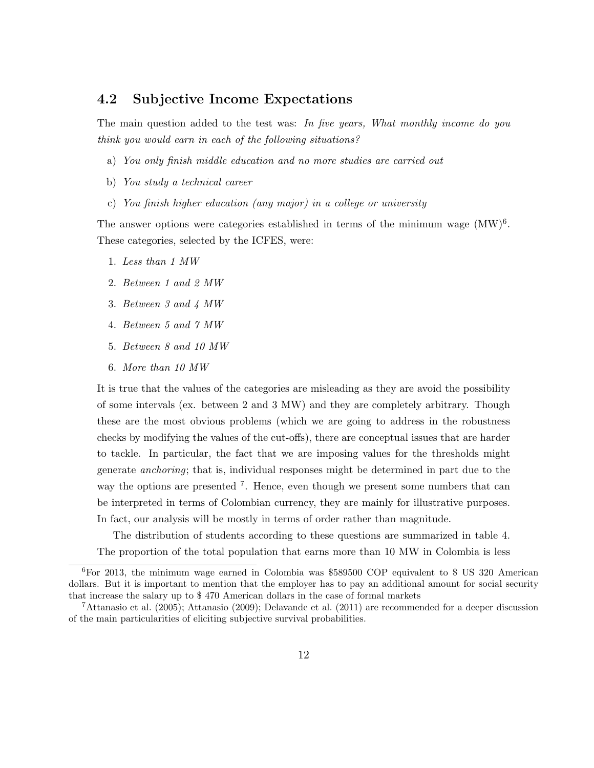#### <span id="page-12-0"></span>4.2 Subjective Income Expectations

The main question added to the test was: In five years, What monthly income do you think you would earn in each of the following situations?

- a) You only finish middle education and no more studies are carried out
- b) You study a technical career
- c) You finish higher education (any major) in a college or university

The answer options were categories established in terms of the minimum wage  $(MW)^6$  $(MW)^6$ . These categories, selected by the ICFES, were:

- 1. Less than 1 MW
- 2. Between 1 and 2 MW
- 3. Between 3 and 4 MW
- 4. Between 5 and 7 MW
- 5. Between 8 and 10 MW
- 6. More than 10 MW

It is true that the values of the categories are misleading as they are avoid the possibility of some intervals (ex. between 2 and 3 MW) and they are completely arbitrary. Though these are the most obvious problems (which we are going to address in the robustness checks by modifying the values of the cut-offs), there are conceptual issues that are harder to tackle. In particular, the fact that we are imposing values for the thresholds might generate anchoring; that is, individual responses might be determined in part due to the way the options are presented <sup>[7](#page-1-0)</sup>. Hence, even though we present some numbers that can be interpreted in terms of Colombian currency, they are mainly for illustrative purposes. In fact, our analysis will be mostly in terms of order rather than magnitude.

The distribution of students according to these questions are summarized in table [4.](#page-28-0) The proportion of the total population that earns more than 10 MW in Colombia is less

 $6$ For 2013, the minimum wage earned in Colombia was \$589500 COP equivalent to \$ US 320 American dollars. But it is important to mention that the employer has to pay an additional amount for social security that increase the salary up to \$ 470 American dollars in the case of formal markets

<sup>7</sup>[Attanasio et al.](#page-20-7) [\(2005\)](#page-20-7); [Attanasio](#page-20-8) [\(2009\)](#page-20-8); [Delavande et al.](#page-20-9) [\(2011\)](#page-20-9) are recommended for a deeper discussion of the main particularities of eliciting subjective survival probabilities.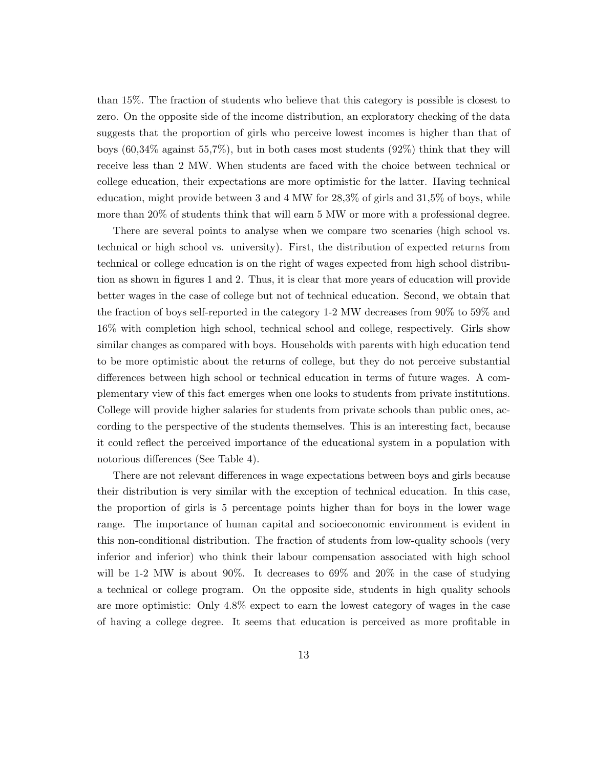than 15%. The fraction of students who believe that this category is possible is closest to zero. On the opposite side of the income distribution, an exploratory checking of the data suggests that the proportion of girls who perceive lowest incomes is higher than that of boys (60,34% against 55,7%), but in both cases most students (92%) think that they will receive less than 2 MW. When students are faced with the choice between technical or college education, their expectations are more optimistic for the latter. Having technical education, might provide between 3 and 4 MW for  $28.3\%$  of girls and  $31.5\%$  of boys, while more than 20% of students think that will earn 5 MW or more with a professional degree.

There are several points to analyse when we compare two scenaries (high school vs. technical or high school vs. university). First, the distribution of expected returns from technical or college education is on the right of wages expected from high school distribution as shown in figures [1](#page-23-0) and [2.](#page-23-1) Thus, it is clear that more years of education will provide better wages in the case of college but not of technical education. Second, we obtain that the fraction of boys self-reported in the category 1-2 MW decreases from 90% to 59% and 16% with completion high school, technical school and college, respectively. Girls show similar changes as compared with boys. Households with parents with high education tend to be more optimistic about the returns of college, but they do not perceive substantial differences between high school or technical education in terms of future wages. A complementary view of this fact emerges when one looks to students from private institutions. College will provide higher salaries for students from private schools than public ones, according to the perspective of the students themselves. This is an interesting fact, because it could reflect the perceived importance of the educational system in a population with notorious differences (See Table [4\)](#page-28-0).

There are not relevant differences in wage expectations between boys and girls because their distribution is very similar with the exception of technical education. In this case, the proportion of girls is 5 percentage points higher than for boys in the lower wage range. The importance of human capital and socioeconomic environment is evident in this non-conditional distribution. The fraction of students from low-quality schools (very inferior and inferior) who think their labour compensation associated with high school will be 1-2 MW is about 90%. It decreases to 69% and 20% in the case of studying a technical or college program. On the opposite side, students in high quality schools are more optimistic: Only 4.8% expect to earn the lowest category of wages in the case of having a college degree. It seems that education is perceived as more profitable in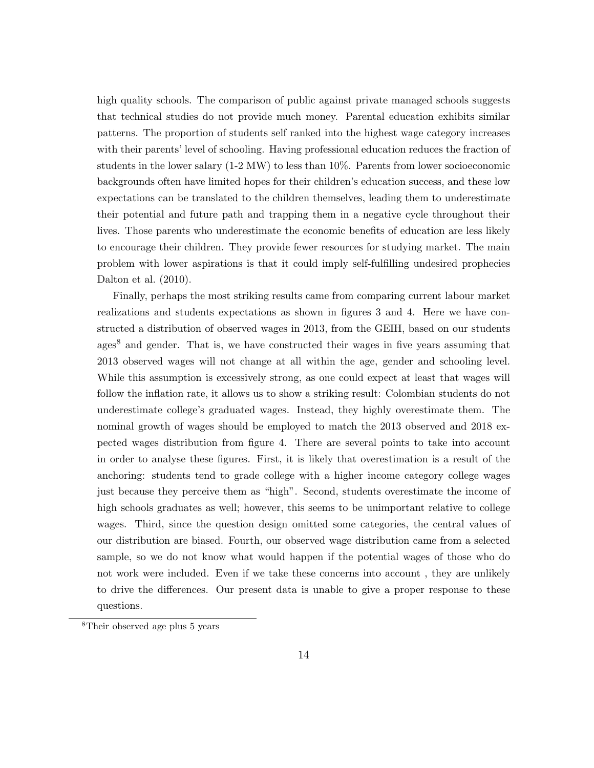high quality schools. The comparison of public against private managed schools suggests that technical studies do not provide much money. Parental education exhibits similar patterns. The proportion of students self ranked into the highest wage category increases with their parents' level of schooling. Having professional education reduces the fraction of students in the lower salary (1-2 MW) to less than 10%. Parents from lower socioeconomic backgrounds often have limited hopes for their children's education success, and these low expectations can be translated to the children themselves, leading them to underestimate their potential and future path and trapping them in a negative cycle throughout their lives. Those parents who underestimate the economic benefits of education are less likely to encourage their children. They provide fewer resources for studying market. The main problem with lower aspirations is that it could imply self-fulfilling undesired prophecies [Dalton et al.](#page-20-10) [\(2010\)](#page-20-10).

Finally, perhaps the most striking results came from comparing current labour market realizations and students expectations as shown in figures [3](#page-24-0) and [4.](#page-24-1) Here we have constructed a distribution of observed wages in 2013, from the GEIH, based on our students ages<sup>[8](#page-1-0)</sup> and gender. That is, we have constructed their wages in five years assuming that 2013 observed wages will not change at all within the age, gender and schooling level. While this assumption is excessively strong, as one could expect at least that wages will follow the inflation rate, it allows us to show a striking result: Colombian students do not underestimate college's graduated wages. Instead, they highly overestimate them. The nominal growth of wages should be employed to match the 2013 observed and 2018 expected wages distribution from figure [4.](#page-24-1) There are several points to take into account in order to analyse these figures. First, it is likely that overestimation is a result of the anchoring: students tend to grade college with a higher income category college wages just because they perceive them as "high". Second, students overestimate the income of high schools graduates as well; however, this seems to be unimportant relative to college wages. Third, since the question design omitted some categories, the central values of our distribution are biased. Fourth, our observed wage distribution came from a selected sample, so we do not know what would happen if the potential wages of those who do not work were included. Even if we take these concerns into account , they are unlikely to drive the differences. Our present data is unable to give a proper response to these questions.

<sup>8</sup>Their observed age plus 5 years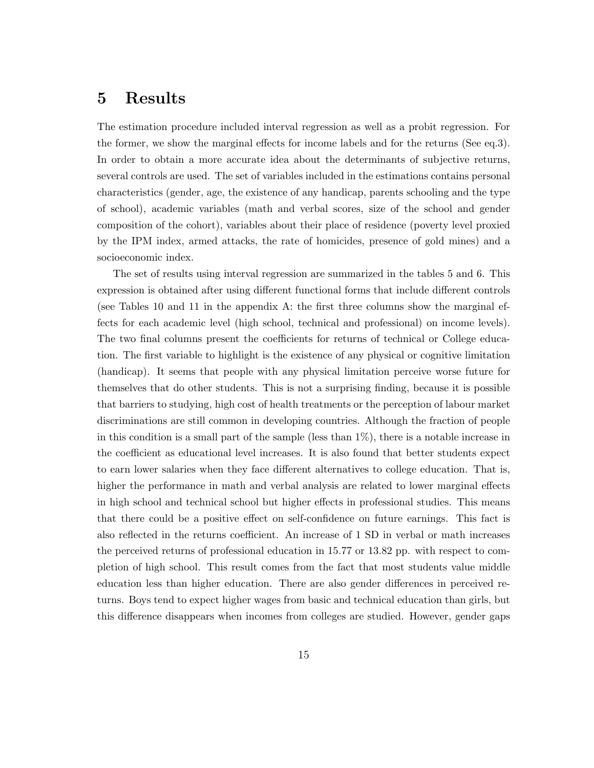### 5 Results

The estimation procedure included interval regression as well as a probit regression. For the former, we show the marginal effects for income labels and for the returns (See eq[.3\)](#page-6-1). In order to obtain a more accurate idea about the determinants of subjective returns, several controls are used. The set of variables included in the estimations contains personal characteristics (gender, age, the existence of any handicap, parents schooling and the type of school), academic variables (math and verbal scores, size of the school and gender composition of the cohort), variables about their place of residence (poverty level proxied by the IPM index, armed attacks, the rate of homicides, presence of gold mines) and a socioeconomic index.

The set of results using interval regression are summarized in the tables [5](#page-29-0) and [6.](#page-30-0) This expression is obtained after using different functional forms that include different controls (see Tables [10](#page-34-0) and [11](#page-35-0) in the appendix [A:](#page-33-1) the first three columns show the marginal effects for each academic level (high school, technical and professional) on income levels). The two final columns present the coefficients for returns of technical or College education. The first variable to highlight is the existence of any physical or cognitive limitation (handicap). It seems that people with any physical limitation perceive worse future for themselves that do other students. This is not a surprising finding, because it is possible that barriers to studying, high cost of health treatments or the perception of labour market discriminations are still common in developing countries. Although the fraction of people in this condition is a small part of the sample (less than 1%), there is a notable increase in the coefficient as educational level increases. It is also found that better students expect to earn lower salaries when they face different alternatives to college education. That is, higher the performance in math and verbal analysis are related to lower marginal effects in high school and technical school but higher effects in professional studies. This means that there could be a positive effect on self-confidence on future earnings. This fact is also reflected in the returns coefficient. An increase of 1 SD in verbal or math increases the perceived returns of professional education in 15.77 or 13.82 pp. with respect to completion of high school. This result comes from the fact that most students value middle education less than higher education. There are also gender differences in perceived returns. Boys tend to expect higher wages from basic and technical education than girls, but this difference disappears when incomes from colleges are studied. However, gender gaps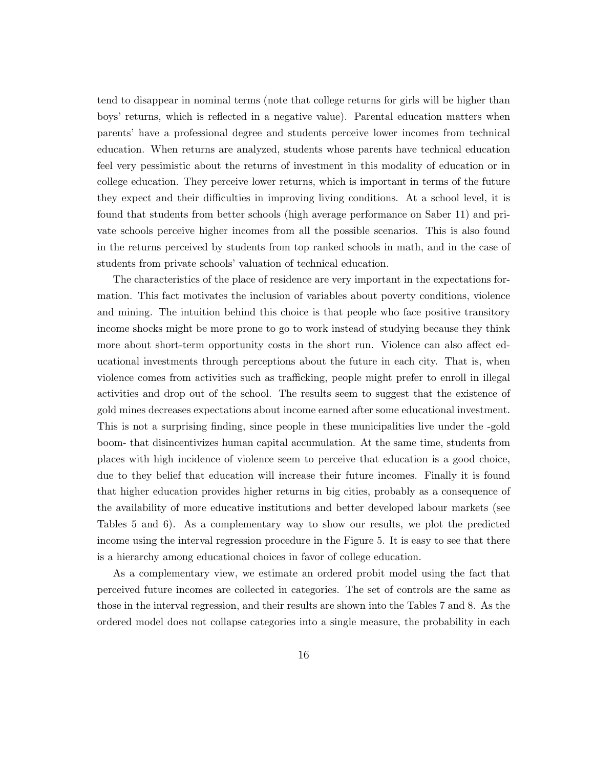tend to disappear in nominal terms (note that college returns for girls will be higher than boys' returns, which is reflected in a negative value). Parental education matters when parents' have a professional degree and students perceive lower incomes from technical education. When returns are analyzed, students whose parents have technical education feel very pessimistic about the returns of investment in this modality of education or in college education. They perceive lower returns, which is important in terms of the future they expect and their difficulties in improving living conditions. At a school level, it is found that students from better schools (high average performance on Saber 11) and private schools perceive higher incomes from all the possible scenarios. This is also found in the returns perceived by students from top ranked schools in math, and in the case of students from private schools' valuation of technical education.

The characteristics of the place of residence are very important in the expectations formation. This fact motivates the inclusion of variables about poverty conditions, violence and mining. The intuition behind this choice is that people who face positive transitory income shocks might be more prone to go to work instead of studying because they think more about short-term opportunity costs in the short run. Violence can also affect educational investments through perceptions about the future in each city. That is, when violence comes from activities such as trafficking, people might prefer to enroll in illegal activities and drop out of the school. The results seem to suggest that the existence of gold mines decreases expectations about income earned after some educational investment. This is not a surprising finding, since people in these municipalities live under the -gold boom- that disincentivizes human capital accumulation. At the same time, students from places with high incidence of violence seem to perceive that education is a good choice, due to they belief that education will increase their future incomes. Finally it is found that higher education provides higher returns in big cities, probably as a consequence of the availability of more educative institutions and better developed labour markets (see Tables [5](#page-29-0) and [6\)](#page-30-0). As a complementary way to show our results, we plot the predicted income using the interval regression procedure in the Figure [5.](#page-25-1) It is easy to see that there is a hierarchy among educational choices in favor of college education.

As a complementary view, we estimate an ordered probit model using the fact that perceived future incomes are collected in categories. The set of controls are the same as those in the interval regression, and their results are shown into the Tables [7](#page-31-0) and [8.](#page-32-0) As the ordered model does not collapse categories into a single measure, the probability in each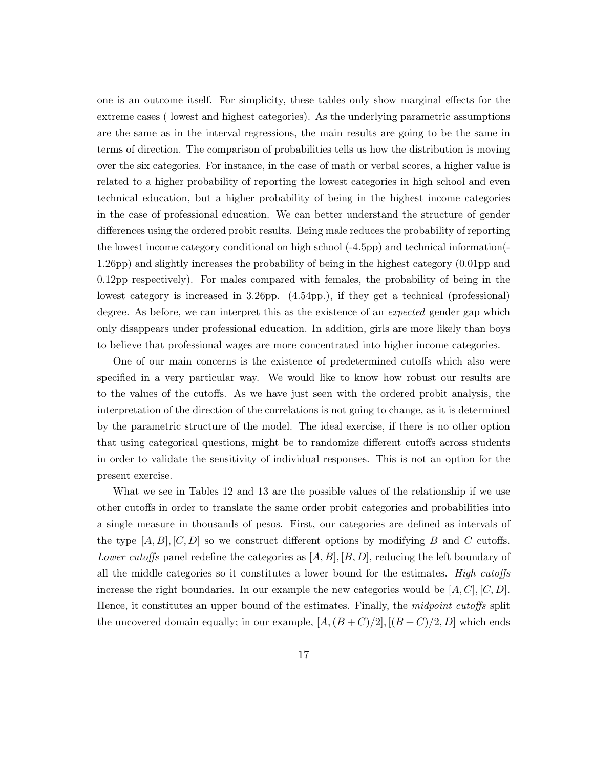one is an outcome itself. For simplicity, these tables only show marginal effects for the extreme cases ( lowest and highest categories). As the underlying parametric assumptions are the same as in the interval regressions, the main results are going to be the same in terms of direction. The comparison of probabilities tells us how the distribution is moving over the six categories. For instance, in the case of math or verbal scores, a higher value is related to a higher probability of reporting the lowest categories in high school and even technical education, but a higher probability of being in the highest income categories in the case of professional education. We can better understand the structure of gender differences using the ordered probit results. Being male reduces the probability of reporting the lowest income category conditional on high school (-4.5pp) and technical information(- 1.26pp) and slightly increases the probability of being in the highest category (0.01pp and 0.12pp respectively). For males compared with females, the probability of being in the lowest category is increased in 3.26pp. (4.54pp.), if they get a technical (professional) degree. As before, we can interpret this as the existence of an *expected* gender gap which only disappears under professional education. In addition, girls are more likely than boys to believe that professional wages are more concentrated into higher income categories.

One of our main concerns is the existence of predetermined cutoffs which also were specified in a very particular way. We would like to know how robust our results are to the values of the cutoffs. As we have just seen with the ordered probit analysis, the interpretation of the direction of the correlations is not going to change, as it is determined by the parametric structure of the model. The ideal exercise, if there is no other option that using categorical questions, might be to randomize different cutoffs across students in order to validate the sensitivity of individual responses. This is not an option for the present exercise.

What we see in Tables [12](#page-36-0) and [13](#page-37-0) are the possible values of the relationship if we use other cutoffs in order to translate the same order probit categories and probabilities into a single measure in thousands of pesos. First, our categories are defined as intervals of the type  $[A, B], [C, D]$  so we construct different options by modifying B and C cutoffs. Lower cutoffs panel redefine the categories as  $[A, B], [B, D]$ , reducing the left boundary of all the middle categories so it constitutes a lower bound for the estimates. High cutoffs increase the right boundaries. In our example the new categories would be  $[A, C], [C, D]$ . Hence, it constitutes an upper bound of the estimates. Finally, the *midpoint cutoffs* split the uncovered domain equally; in our example,  $[A,(B+C)/2], [(B+C)/2,D]$  which ends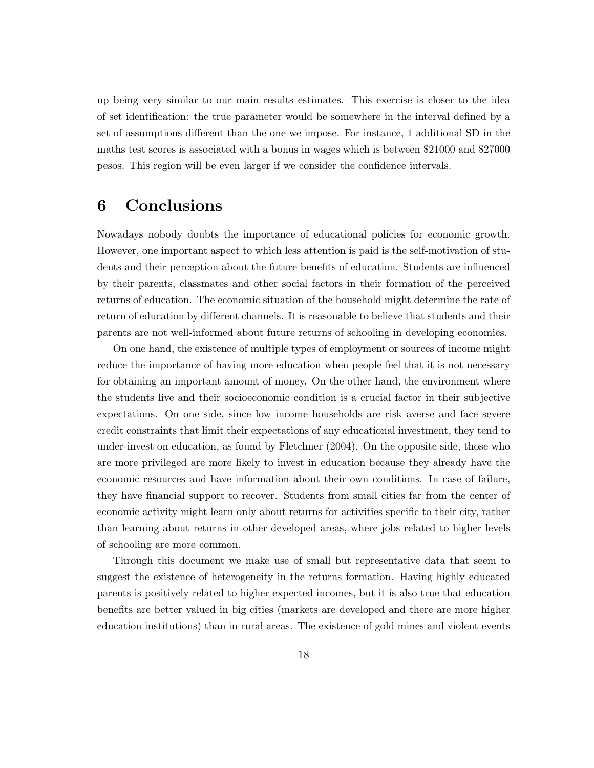up being very similar to our main results estimates. This exercise is closer to the idea of set identification: the true parameter would be somewhere in the interval defined by a set of assumptions different than the one we impose. For instance, 1 additional SD in the maths test scores is associated with a bonus in wages which is between \$21000 and \$27000 pesos. This region will be even larger if we consider the confidence intervals.

### 6 Conclusions

Nowadays nobody doubts the importance of educational policies for economic growth. However, one important aspect to which less attention is paid is the self-motivation of students and their perception about the future benefits of education. Students are influenced by their parents, classmates and other social factors in their formation of the perceived returns of education. The economic situation of the household might determine the rate of return of education by different channels. It is reasonable to believe that students and their parents are not well-informed about future returns of schooling in developing economies.

On one hand, the existence of multiple types of employment or sources of income might reduce the importance of having more education when people feel that it is not necessary for obtaining an important amount of money. On the other hand, the environment where the students live and their socioeconomic condition is a crucial factor in their subjective expectations. On one side, since low income households are risk averse and face severe credit constraints that limit their expectations of any educational investment, they tend to under-invest on education, as found by Fletchner (2004). On the opposite side, those who are more privileged are more likely to invest in education because they already have the economic resources and have information about their own conditions. In case of failure, they have financial support to recover. Students from small cities far from the center of economic activity might learn only about returns for activities specific to their city, rather than learning about returns in other developed areas, where jobs related to higher levels of schooling are more common.

Through this document we make use of small but representative data that seem to suggest the existence of heterogeneity in the returns formation. Having highly educated parents is positively related to higher expected incomes, but it is also true that education benefits are better valued in big cities (markets are developed and there are more higher education institutions) than in rural areas. The existence of gold mines and violent events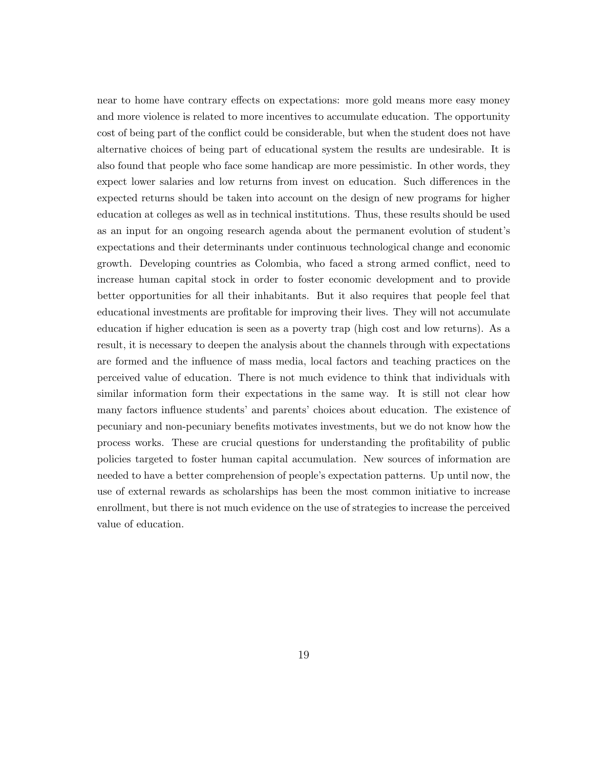near to home have contrary effects on expectations: more gold means more easy money and more violence is related to more incentives to accumulate education. The opportunity cost of being part of the conflict could be considerable, but when the student does not have alternative choices of being part of educational system the results are undesirable. It is also found that people who face some handicap are more pessimistic. In other words, they expect lower salaries and low returns from invest on education. Such differences in the expected returns should be taken into account on the design of new programs for higher education at colleges as well as in technical institutions. Thus, these results should be used as an input for an ongoing research agenda about the permanent evolution of student's expectations and their determinants under continuous technological change and economic growth. Developing countries as Colombia, who faced a strong armed conflict, need to increase human capital stock in order to foster economic development and to provide better opportunities for all their inhabitants. But it also requires that people feel that educational investments are profitable for improving their lives. They will not accumulate education if higher education is seen as a poverty trap (high cost and low returns). As a result, it is necessary to deepen the analysis about the channels through with expectations are formed and the influence of mass media, local factors and teaching practices on the perceived value of education. There is not much evidence to think that individuals with similar information form their expectations in the same way. It is still not clear how many factors influence students' and parents' choices about education. The existence of pecuniary and non-pecuniary benefits motivates investments, but we do not know how the process works. These are crucial questions for understanding the profitability of public policies targeted to foster human capital accumulation. New sources of information are needed to have a better comprehension of people's expectation patterns. Up until now, the use of external rewards as scholarships has been the most common initiative to increase enrollment, but there is not much evidence on the use of strategies to increase the perceived value of education.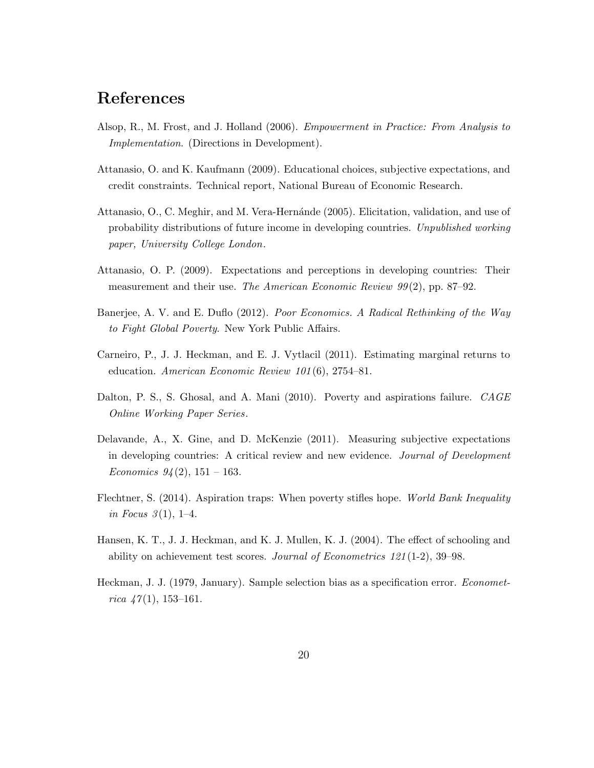### References

- <span id="page-20-1"></span>Alsop, R., M. Frost, and J. Holland (2006). Empowerment in Practice: From Analysis to Implementation. (Directions in Development).
- <span id="page-20-6"></span>Attanasio, O. and K. Kaufmann (2009). Educational choices, subjective expectations, and credit constraints. Technical report, National Bureau of Economic Research.
- <span id="page-20-7"></span>Attanasio, O., C. Meghir, and M. Vera-Hernánde (2005). Elicitation, validation, and use of probability distributions of future income in developing countries. Unpublished working paper, University College London.
- <span id="page-20-8"></span>Attanasio, O. P. (2009). Expectations and perceptions in developing countries: Their measurement and their use. The American Economic Review  $99(2)$ , pp. 87–92.
- <span id="page-20-0"></span>Banerjee, A. V. and E. Duflo (2012). Poor Economics. A Radical Rethinking of the Way to Fight Global Poverty. New York Public Affairs.
- <span id="page-20-4"></span>Carneiro, P., J. J. Heckman, and E. J. Vytlacil (2011). Estimating marginal returns to education. American Economic Review 101 (6), 2754–81.
- <span id="page-20-10"></span>Dalton, P. S., S. Ghosal, and A. Mani (2010). Poverty and aspirations failure. CAGE Online Working Paper Series.
- <span id="page-20-9"></span>Delavande, A., X. Gine, and D. McKenzie (2011). Measuring subjective expectations in developing countries: A critical review and new evidence. Journal of Development Economics  $94(2)$ , 151 – 163.
- <span id="page-20-2"></span>Flechtner, S. (2014). Aspiration traps: When poverty stifles hope. World Bank Inequality in Focus  $3(1)$ , 1–4.
- <span id="page-20-3"></span>Hansen, K. T., J. J. Heckman, and K. J. Mullen, K. J. (2004). The effect of schooling and ability on achievement test scores. Journal of Econometrics  $121(1-2)$ , 39–98.
- <span id="page-20-5"></span>Heckman, J. J. (1979, January). Sample selection bias as a specification error. Econometrica  $\frac{47(1)}{153-161}$ .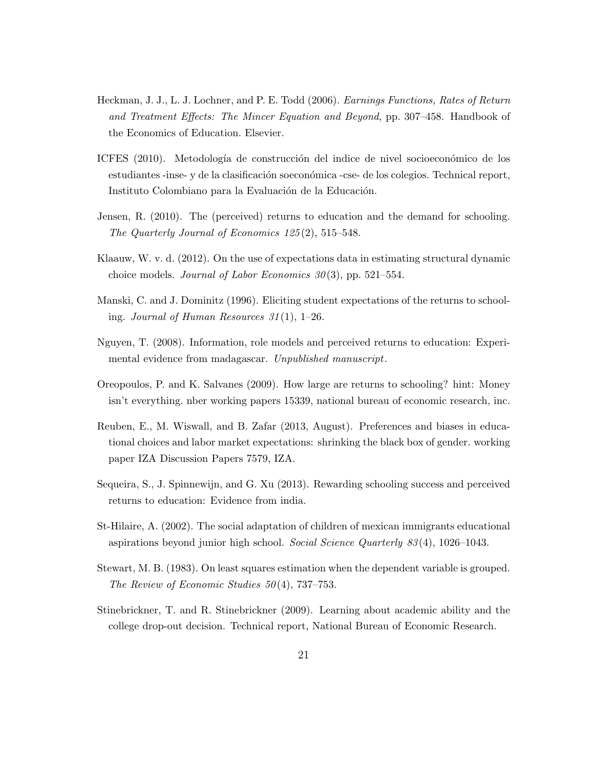- <span id="page-21-4"></span>Heckman, J. J., L. J. Lochner, and P. E. Todd (2006). Earnings Functions, Rates of Return and Treatment Effects: The Mincer Equation and Beyond, pp. 307–458. Handbook of the Economics of Education. Elsevier.
- <span id="page-21-11"></span>ICFES (2010). Metodología de construcción del indice de nivel socioeconómico de los estudiantes -inse- y de la clasificación soeconómica -cse- de los colegios. Technical report, Instituto Colombiano para la Evaluación de la Educación.
- <span id="page-21-1"></span>Jensen, R. (2010). The (perceived) returns to education and the demand for schooling. The Quarterly Journal of Economics 125 (2), 515–548.
- <span id="page-21-6"></span>Klaauw, W. v. d. (2012). On the use of expectations data in estimating structural dynamic choice models. Journal of Labor Economics  $30(3)$ , pp. 521–554.
- <span id="page-21-3"></span>Manski, C. and J. Dominitz (1996). Eliciting student expectations of the returns to schooling. Journal of Human Resources  $31(1)$ , 1–26.
- <span id="page-21-5"></span>Nguyen, T. (2008). Information, role models and perceived returns to education: Experimental evidence from madagascar. Unpublished manuscript.
- <span id="page-21-0"></span>Oreopoulos, P. and K. Salvanes (2009). How large are returns to schooling? hint: Money isn't everything. nber working papers 15339, national bureau of economic research, inc.
- <span id="page-21-8"></span>Reuben, E., M. Wiswall, and B. Zafar (2013, August). Preferences and biases in educational choices and labor market expectations: shrinking the black box of gender. working paper IZA Discussion Papers 7579, IZA.
- <span id="page-21-9"></span>Sequeira, S., J. Spinnewijn, and G. Xu (2013). Rewarding schooling success and perceived returns to education: Evidence from india.
- <span id="page-21-2"></span>St-Hilaire, A. (2002). The social adaptation of children of mexican immigrants educational aspirations beyond junior high school. Social Science Quarterly 83 (4), 1026–1043.
- <span id="page-21-10"></span>Stewart, M. B. (1983). On least squares estimation when the dependent variable is grouped. The Review of Economic Studies  $50(4)$ , 737–753.
- <span id="page-21-7"></span>Stinebrickner, T. and R. Stinebrickner (2009). Learning about academic ability and the college drop-out decision. Technical report, National Bureau of Economic Research.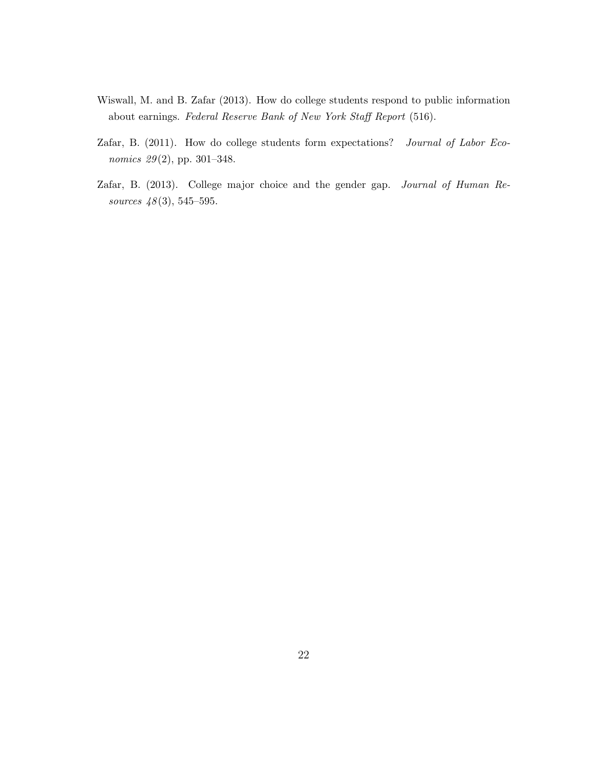- <span id="page-22-0"></span>Wiswall, M. and B. Zafar (2013). How do college students respond to public information about earnings. Federal Reserve Bank of New York Staff Report (516).
- <span id="page-22-1"></span>Zafar, B. (2011). How do college students form expectations? Journal of Labor Economics 29(2), pp. 301-348.
- <span id="page-22-2"></span>Zafar, B. (2013). College major choice and the gender gap. Journal of Human Resources  $48(3)$ , 545–595.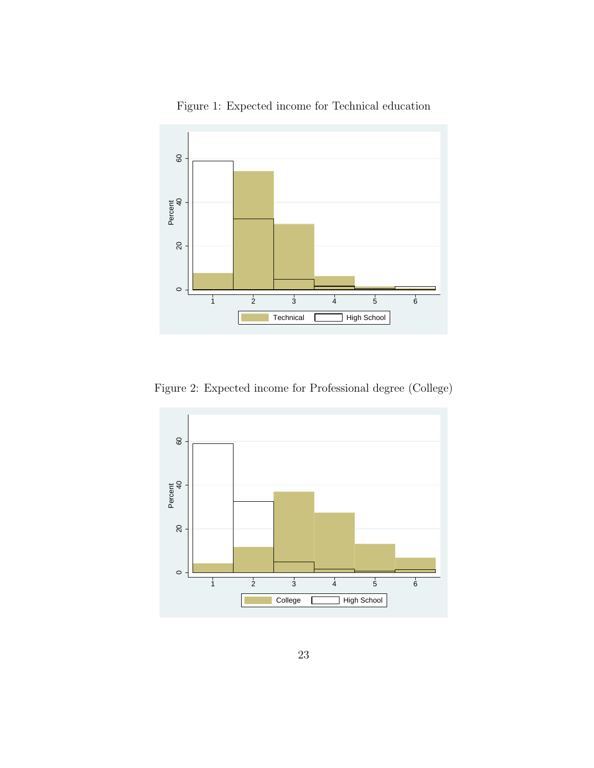<span id="page-23-0"></span>

Figure 1: Expected income for Technical education

Figure 2: Expected income for Professional degree (College)

<span id="page-23-1"></span>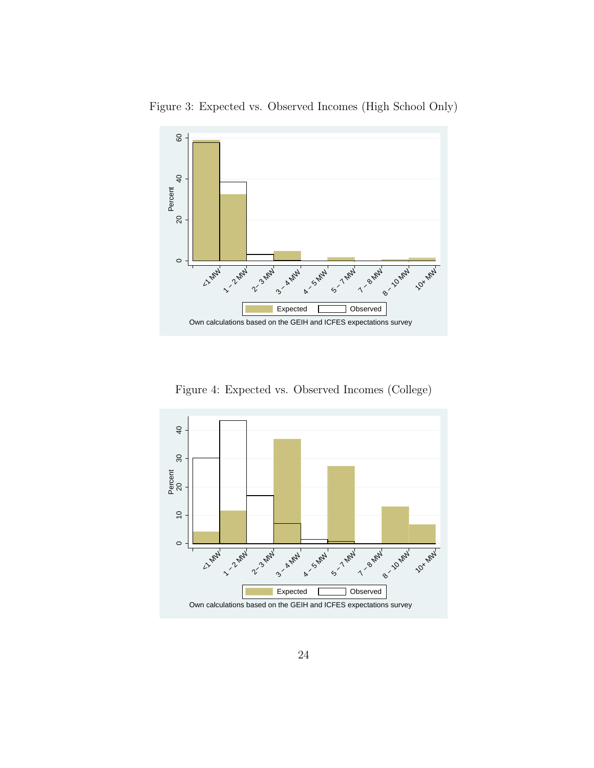<span id="page-24-0"></span>



Figure 4: Expected vs. Observed Incomes (College)

<span id="page-24-1"></span>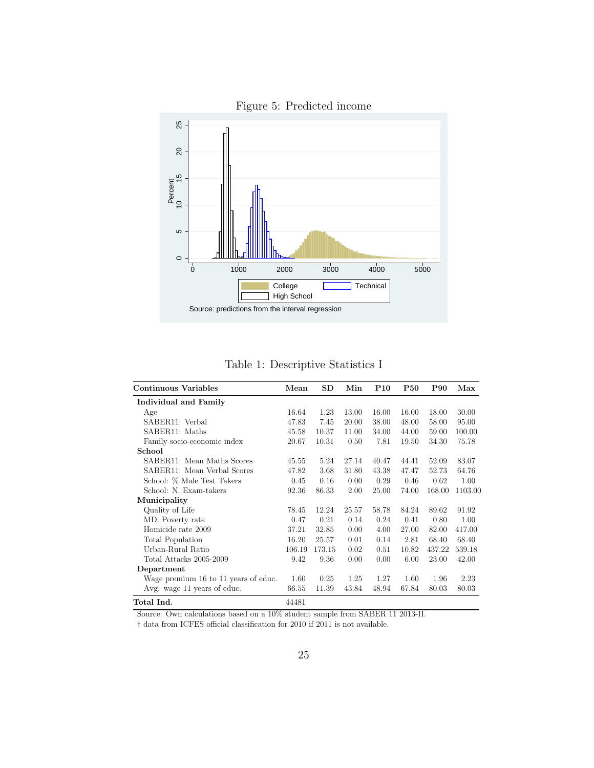<span id="page-25-1"></span>

Figure 5: Predicted income

Table 1: Descriptive Statistics I

<span id="page-25-0"></span>

| Continuous Variables                 | Mean   | <b>SD</b> | Min   | <b>P10</b> | <b>P50</b> | P90    | Max     |
|--------------------------------------|--------|-----------|-------|------------|------------|--------|---------|
| Individual and Family                |        |           |       |            |            |        |         |
| Age                                  | 16.64  | 1.23      | 13.00 | 16.00      | 16.00      | 18.00  | 30.00   |
| SABER11: Verbal                      | 47.83  | 7.45      | 20.00 | 38.00      | 48.00      | 58.00  | 95.00   |
| SABER11: Maths                       | 45.58  | 10.37     | 11.00 | 34.00      | 44.00      | 59.00  | 100.00  |
| Family socio-economic index          | 20.67  | 10.31     | 0.50  | 7.81       | 19.50      | 34.30  | 75.78   |
| School                               |        |           |       |            |            |        |         |
| SABER11: Mean Maths Scores           | 45.55  | 5.24      | 27.14 | 40.47      | 44.41      | 52.09  | 83.07   |
| SABER11: Mean Verbal Scores          | 47.82  | 3.68      | 31.80 | 43.38      | 47.47      | 52.73  | 64.76   |
| School: % Male Test Takers           | 0.45   | 0.16      | 0.00  | 0.29       | 0.46       | 0.62   | 1.00    |
| School: N. Exam-takers               | 92.36  | 86.33     | 2.00  | 25.00      | 74.00      | 168.00 | 1103.00 |
| Municipality                         |        |           |       |            |            |        |         |
| Quality of Life                      | 78.45  | 12.24     | 25.57 | 58.78      | 84.24      | 89.62  | 91.92   |
| MD. Poverty rate                     | 0.47   | 0.21      | 0.14  | 0.24       | 0.41       | 0.80   | 1.00    |
| Homicide rate 2009                   | 37.21  | 32.85     | 0.00  | 4.00       | 27.00      | 82.00  | 417.00  |
| Total Population                     | 16.20  | 25.57     | 0.01  | 0.14       | 2.81       | 68.40  | 68.40   |
| Urban-Rural Ratio                    | 106.19 | 173.15    | 0.02  | 0.51       | 10.82      | 437.22 | 539.18  |
| Total Attacks 2005-2009              | 9.42   | 9.36      | 0.00  | 0.00       | 6.00       | 23.00  | 42.00   |
| Department                           |        |           |       |            |            |        |         |
| Wage premium 16 to 11 years of educ. | 1.60   | 0.25      | 1.25  | 1.27       | 1.60       | 1.96   | 2.23    |
| Avg. wage 11 years of educ.          | 66.55  | 11.39     | 43.84 | 48.94      | 67.84      | 80.03  | 80.03   |
| Total Ind.                           | 44481  |           |       |            |            |        |         |

Source: Own calculations based on a 10% student sample from SABER 11 2013-II.

 $\dagger$  data from ICFES official classification for 2010 if 2011 is not available.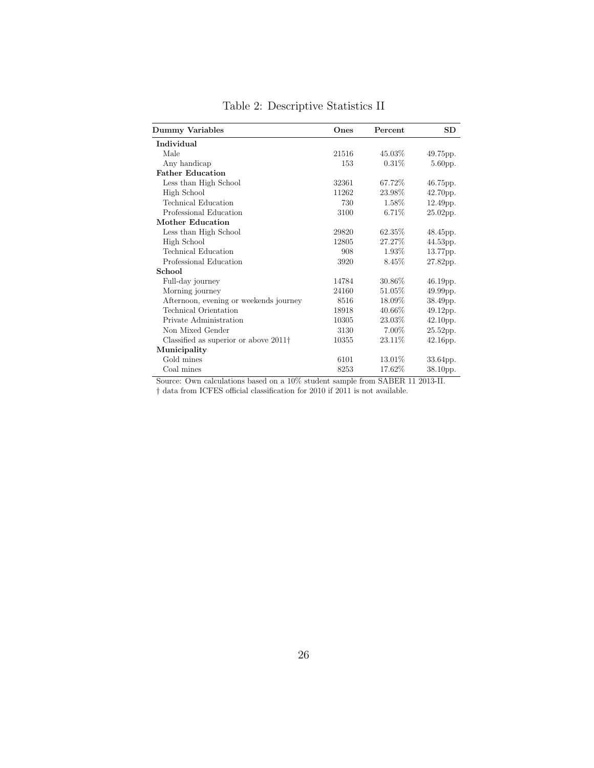<span id="page-26-0"></span>

| <b>Dummy Variables</b>                        | Ones  | Percent  | <b>SD</b>   |
|-----------------------------------------------|-------|----------|-------------|
| Individual                                    |       |          |             |
| Male                                          | 21516 | 45.03%   | 49.75pp.    |
| Any handicap                                  | 153   | $0.31\%$ | 5.60pp.     |
| <b>Father Education</b>                       |       |          |             |
| Less than High School                         | 32361 | 67.72\%  | 46.75pp.    |
| High School                                   | 11262 | 23.98%   | 42.70pp.    |
| Technical Education                           | 730   | 1.58%    | 12.49pp.    |
| Professional Education                        | 3100  | 6.71%    | $25.02$ pp. |
| Mother Education                              |       |          |             |
| Less than High School                         | 29820 | 62.35%   | 48.45pp.    |
| High School                                   | 12805 | 27.27%   | 44.53pp.    |
| Technical Education                           | 908   | 1.93%    | 13.77pp.    |
| Professional Education                        | 3920  | 8.45%    | 27.82pp.    |
| School                                        |       |          |             |
| Full-day journey                              | 14784 | 30.86\%  | $46.19pp$ . |
| Morning journey                               | 24160 | 51.05%   | 49.99pp.    |
| Afternoon, evening or weekends journey        | 8516  | 18.09%   | 38.49pp.    |
| Technical Orientation                         | 18918 | 40.66%   | 49.12pp.    |
| Private Administration                        | 10305 | 23.03%   | $42.10$ pp. |
| Non Mixed Gender                              | 3130  | 7.00%    | 25.52pp.    |
| Classified as superior or above $2011\dagger$ | 10355 | 23.11\%  | $42.16$ pp. |
| Municipality                                  |       |          |             |
| Gold mines                                    | 6101  | 13.01\%  | 33.64pp.    |
| Coal mines                                    | 8253  | 17.62%   | 38.10pp.    |

Table 2: Descriptive Statistics II

Source: Own calculations based on a  $10\%$  student sample from SABER 11 2013-II.

† data from ICFES official classification for 2010 if 2011 is not available.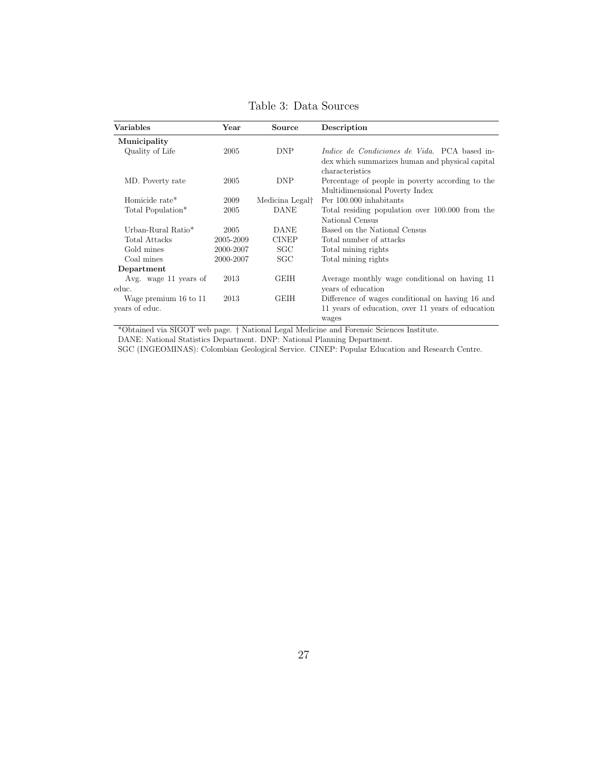<span id="page-27-0"></span>

| <b>Variables</b>      | Year      | Source                      | Description                                                |
|-----------------------|-----------|-----------------------------|------------------------------------------------------------|
| Municipality          |           |                             |                                                            |
| Quality of Life       | 2005      | <b>DNP</b>                  | <i>Indice de Condiciones de Vida</i> . PCA based in-       |
|                       |           |                             | dex which summarizes human and physical capital            |
|                       |           |                             | characteristics                                            |
| MD. Poverty rate      | 2005      | <b>DNP</b>                  | Percentage of people in poverty according to the           |
|                       |           |                             | Multidimensional Poverty Index                             |
| Homicide rate*        | 2009      | Medicina Legal <sup>†</sup> | Per 100,000 inhabitants                                    |
| Total Population*     | 2005      | <b>DANE</b>                 | Total residing population over 100,000 from the            |
|                       |           |                             | National Census                                            |
| Urban-Rural Ratio*    | 2005      | <b>DANE</b>                 | Based on the National Census                               |
| Total Attacks         | 2005-2009 | <b>CINEP</b>                | Total number of attacks                                    |
| Gold mines            | 2000-2007 | SGC                         | Total mining rights                                        |
| Coal mines            | 2000-2007 | SGC                         | Total mining rights                                        |
| Department            |           |                             |                                                            |
| Avg. wage 11 years of | 2013      | <b>GEIH</b>                 | Average monthly wage conditional on having 11              |
| educ.                 |           |                             | years of education                                         |
| Wage premium 16 to 11 | 2013      | <b>GEIH</b>                 | Difference of wages conditional on having 16 and           |
| years of educ.        |           |                             | 11 years of education, over 11 years of education<br>wages |

Table 3: Data Sources

\*Obtained via SIGOT web page. † National Legal Medicine and Forensic Sciences Institute.

DANE: National Statistics Department. DNP: National Planning Department.

SGC (INGEOMINAS): Colombian Geological Service. CINEP: Popular Education and Research Centre.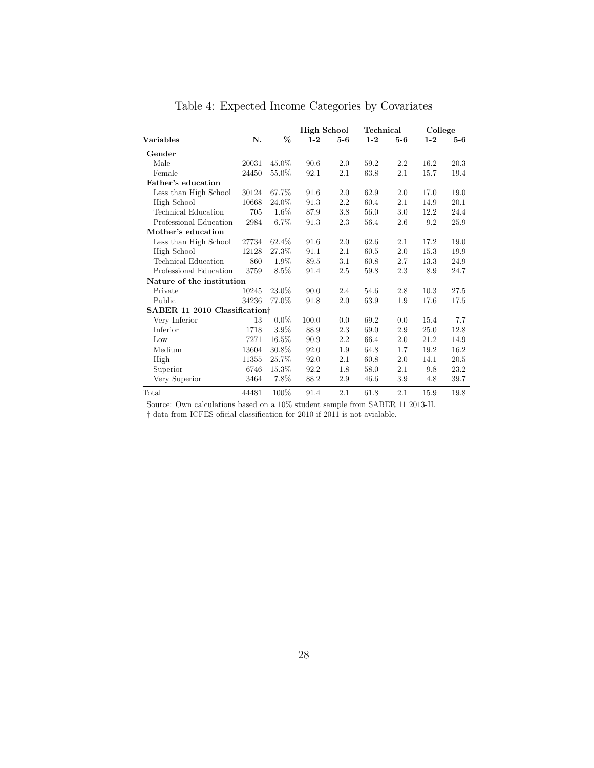<span id="page-28-0"></span>

|                                           |       |         | <b>High School</b> |         | Technical |       | College |       |
|-------------------------------------------|-------|---------|--------------------|---------|-----------|-------|---------|-------|
| <b>Variables</b>                          | N.    | %       | $1 - 2$            | $5-6$   | $1 - 2$   | $5-6$ | $1 - 2$ | $5-6$ |
| Gender                                    |       |         |                    |         |           |       |         |       |
| Male                                      | 20031 | 45.0%   | 90.6               | 2.0     | 59.2      | 2.2   | 16.2    | 20.3  |
| Female                                    | 24450 | 55.0%   | 92.1               | 2.1     | 63.8      | 2.1   | 15.7    | 19.4  |
| Father's education                        |       |         |                    |         |           |       |         |       |
| Less than High School                     | 30124 | 67.7%   | 91.6               | 2.0     | 62.9      | 2.0   | 17.0    | 19.0  |
| High School                               | 10668 | 24.0%   | 91.3               | $2.2\,$ | 60.4      | 2.1   | 14.9    | 20.1  |
| <b>Technical Education</b>                | 705   | 1.6%    | 87.9               | 3.8     | 56.0      | 3.0   | 12.2    | 24.4  |
| Professional Education                    | 2984  | $6.7\%$ | 91.3               | 2.3     | 56.4      | 2.6   | 9.2     | 25.9  |
| Mother's education                        |       |         |                    |         |           |       |         |       |
| Less than High School                     | 27734 | 62.4%   | 91.6               | 2.0     | 62.6      | 2.1   | 17.2    | 19.0  |
| High School                               | 12128 | 27.3%   | 91.1               | 2.1     | 60.5      | 2.0   | 15.3    | 19.9  |
| Technical Education                       | 860   | 1.9%    | 89.5               | $3.1\,$ | 60.8      | 2.7   | 13.3    | 24.9  |
| Professional Education                    | 3759  | $8.5\%$ | 91.4               | 2.5     | 59.8      | 2.3   | 8.9     | 24.7  |
| Nature of the institution                 |       |         |                    |         |           |       |         |       |
| Private                                   | 10245 | 23.0%   | 90.0               | 2.4     | 54.6      | 2.8   | 10.3    | 27.5  |
| Public                                    | 34236 | 77.0%   | 91.8               | 2.0     | 63.9      | 1.9   | 17.6    | 17.5  |
| SABER 11 2010 Classification <sup>†</sup> |       |         |                    |         |           |       |         |       |
| Very Inferior                             | 13    | $0.0\%$ | 100.0              | 0.0     | 69.2      | 0.0   | 15.4    | 7.7   |
| Inferior                                  | 1718  | 3.9%    | 88.9               | 2.3     | 69.0      | 2.9   | 25.0    | 12.8  |
| Low                                       | 7271  | 16.5%   | 90.9               | 2.2     | 66.4      | 2.0   | 21.2    | 14.9  |
| Medium                                    | 13604 | 30.8%   | 92.0               | 1.9     | 64.8      | 1.7   | 19.2    | 16.2  |
| High                                      | 11355 | 25.7%   | 92.0               | 2.1     | 60.8      | 2.0   | 14.1    | 20.5  |
| Superior                                  | 6746  | 15.3%   | 92.2               | 1.8     | 58.0      | 2.1   | 9.8     | 23.2  |
| Very Superior                             | 3464  | 7.8%    | 88.2               | 2.9     | 46.6      | 3.9   | 4.8     | 39.7  |
| Total                                     | 44481 | 100%    | 91.4               | 2.1     | 61.8      | 2.1   | 15.9    | 19.8  |

Table 4: Expected Income Categories by Covariates

Source: Own calculations based on a  $10\%$  student sample from SABER 11 2013-II.

 $\dagger$  data from ICFES oficial classification for 2010 if 2011 is not avialable.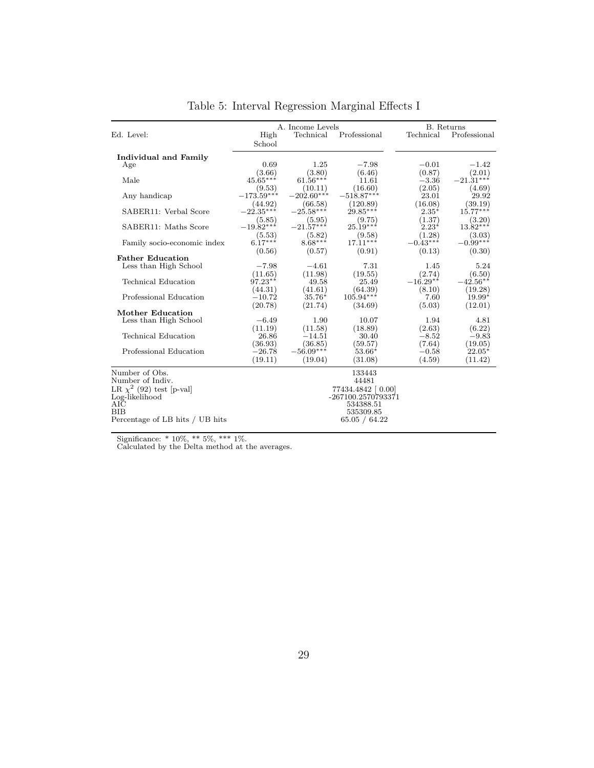<span id="page-29-0"></span>

|                                 |                        | A. Income Levels       |                      | <b>B.</b> Returns |                      |
|---------------------------------|------------------------|------------------------|----------------------|-------------------|----------------------|
| Ed. Level:                      | High<br>School         | Technical              | Professional         | Technical         | Professional         |
| Individual and Family           |                        |                        |                      |                   |                      |
| Age                             | 0.69                   | 1.25                   | $-7.98$              | $-0.01$           | $-1.42$              |
|                                 | (3.66)                 | (3.80)                 | (6.46)               | (0.87)            | (2.01)               |
| Male                            | $45.65***$             | $61.56***$             | 11.61                | $-3.36$           | $-21.31***$          |
|                                 | (9.53)                 | (10.11)                | (16.60)              | (2.05)            | (4.69)               |
| Any handicap                    | $-173.59***$           | $-202.60***$           | $-518.87***$         | 23.01             | 29.92                |
|                                 | (44.92)<br>$-22.35***$ | (66.58)<br>$-25.58***$ | (120.89)             | (16.08)           | (39.19)              |
| SABER11: Verbal Score           |                        |                        | $29.85***$           | $2.35^*$          | $15.77***$           |
| SABER11: Maths Score            | (5.85)<br>$-19.82***$  | (5.95)<br>$-21.57***$  | (9.75)<br>$25.19***$ | (1.37)<br>$2.23*$ | (3.20)<br>$13.82***$ |
|                                 | (5.53)                 |                        | (9.58)               | (1.28)            | (3.03)               |
| Family socio-economic index     | $6.17***$              | $(5.82)$<br>8.68***    | $17.11***$           | $-0.43***$        | $-0.99***$           |
|                                 | (0.56)                 | (0.57)                 | (0.91)               | (0.13)            | (0.30)               |
| <b>Father Education</b>         |                        |                        |                      |                   |                      |
| Less than High School           | $-7.98$                | $-4.61$                | 7.31                 | 1.45              | 5.24                 |
|                                 | (11.65)                | (11.98)                | (19.55)              | (2.74)            | (6.50)               |
| <b>Technical Education</b>      | $97.23**$              | 49.58                  | 25.49                | $-16.29**$        | $-42.56**$           |
|                                 | (44.31)                | (41.61)                | (64.39)              | (8.10)            | (19.28)              |
| Professional Education          | $-10.72$               | $35.76*$               | $105.94***$          | 7.60              | $19.99*$             |
|                                 | (20.78)                | (21.74)                | (34.69)              | (5.03)            | (12.01)              |
| Mother Education                |                        |                        |                      |                   |                      |
| Less than High School           | $-6.49$                | 1.90                   | 10.07                | 1.94              | 4.81                 |
|                                 | (11.19)                | (11.58)                | (18.89)              | (2.63)            | (6.22)               |
| Technical Education             | 26.86                  | $-14.51$               | 30.40                | $-8.52$           | $-9.83$              |
|                                 | (36.93)                | (36.85)                | (59.57)              | (7.64)            | (19.05)              |
| Professional Education          | $-26.78$               | $-56.09***$            | $53.66*$             | $-0.58$           | $22.05*$             |
|                                 | (19.11)                | (19.04)                | (31.08)              | (4.59)            | (11.42)              |
| Number of Obs.                  |                        |                        | 133443               |                   |                      |
| Number of Indiv.                |                        |                        | 44481                |                   |                      |
| LR $\chi^2$ (92) test [p-val]   |                        |                        | 77434.4842 [0.00]    |                   |                      |
| Log-likelihood                  |                        |                        | -267100.2570793371   |                   |                      |
| AIC                             |                        |                        | 534388.51            |                   |                      |
| BIB                             |                        |                        | 535309.85            |                   |                      |
| Percentage of LB hits / UB hits |                        |                        | 65.05 / 64.22        |                   |                      |
|                                 |                        |                        |                      |                   |                      |

Table 5: Interval Regression Marginal Effects I

Significance: \* 10%, \*\* 5%, \*\*\* 1%. Calculated by the Delta method at the averages.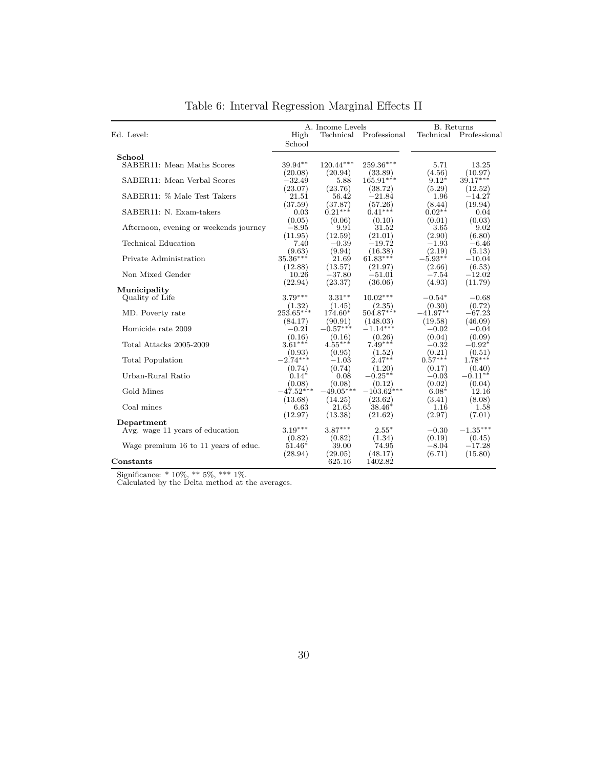<span id="page-30-0"></span>

|                                               |                    | A. Income Levels      |                        | B. Returns        |                   |
|-----------------------------------------------|--------------------|-----------------------|------------------------|-------------------|-------------------|
| Ed. Level:                                    | High<br>School     |                       | Technical Professional | Technical         | Professional      |
| School                                        |                    |                       |                        |                   |                   |
| SABER11: Mean Maths Scores                    | $39.94**$          | 120.44***             | 259.36***              | 5.71              | 13.25             |
|                                               | (20.08)            | (20.94)               | (33.89)                | (4.56)            | (10.97)           |
| SABER11: Mean Verbal Scores                   | $-32.49$           | 5.88                  | $165.91***$            | $9.12*$           | $39.17***$        |
|                                               | (23.07)            | (23.76)               | (38.72)                | (5.29)            | (12.52)           |
| SABER11: % Male Test Takers                   | 21.51              | 56.42                 | $-21.84$               | 1.96              | $-14.27$          |
|                                               | (37.59)            | (37.87)               | (57.26)                | (8.44)            | (19.94)           |
| SABER11: N. Exam-takers                       | 0.03               | $0.21***$             | $0.41***$              | $0.02**$          | 0.04              |
| Afternoon, evening or weekends journey        | (0.05)<br>$-8.95$  | (0.06)<br>9.91        | (0.10)<br>31.52        | (0.01)<br>3.65    | (0.03)<br>9.02    |
|                                               | (11.95)            | (12.59)               | (21.01)                | (2.90)            | (6.80)            |
| <b>Technical Education</b>                    | 7.40               | $-0.39$               | $-19.72$               | $-1.93$           | $-6.46$           |
|                                               | (9.63)             | (9.94)                | (16.38)                | (2.19)            | (5.13)            |
| Private Administration                        | $35.36***$         | 21.69                 | $61.83***$             | $-5.93**$         | $-10.04$          |
|                                               | (12.88)            | (13.57)               | (21.97)                | (2.66)            | (6.53)            |
| Non Mixed Gender                              | 10.26              | $-37.80$              | $-51.01$               | $-7.54$           | $-12.02$          |
|                                               | (22.94)            | (23.37)               | (36.06)                | (4.93)            | (11.79)           |
| Municipality                                  |                    |                       |                        |                   |                   |
| Quality of Life                               | $3.79***$          | $3.31***$             | $10.02***$             | $-0.54*$          | $-0.68$           |
|                                               | (1.32)             | (1.45)                | (2.35)                 | (0.30)            | (0.72)            |
| MD. Poverty rate                              | $253.65***$        | $174.60*$             | $504.87***$            | $-41.97**$        | $-67.23$          |
| Homicide rate 2009                            | (84.17)<br>$-0.21$ | (90.91)<br>$-0.57***$ | (148.03)<br>$-1.14***$ | (19.58)           | (46.09)           |
|                                               | (0.16)             | (0.16)                | (0.26)                 | $-0.02$<br>(0.04) | $-0.04$<br>(0.09) |
| Total Attacks 2005-2009                       | $3.61***$          | $4.55***$             | $7.49***$              | $-0.32$           | $-0.92*$          |
|                                               | (0.93)             | (0.95)                | (1.52)                 | (0.21)            | (0.51)            |
| Total Population                              | $-2.74***$         | $-1.03$               | $2.47**$               | $0.57***$         | $1.78***$         |
|                                               | (0.74)             | (0.74)                | (1.20)                 | (0.17)            | (0.40)            |
| Urban-Rural Ratio                             | $0.14*$            | 0.08                  | $-0.25***$             | $-0.03$           | $-0.11***$        |
|                                               | (0.08)             | (0.08)                | (0.12)                 | (0.02)            | (0.04)            |
| Gold Mines                                    | $-47.52***$        | $-49.05***$           | $-103.62***$           | $6.08*$           | 12.16             |
|                                               | (13.68)            | (14.25)               | (23.62)                | (3.41)            | (8.08)            |
| Coal mines                                    | 6.63               | 21.65                 | $38.46*$               | 1.16              | 1.58              |
|                                               | (12.97)            | (13.38)               | (21.62)                | (2.97)            | (7.01)            |
| Department<br>Avg. wage 11 years of education | $3.19***$          | $3.87***$             | $2.55*$                | $-0.30$           | $-1.35***$        |
|                                               | (0.82)             | (0.82)                | (1.34)                 | (0.19)            | (0.45)            |
| Wage premium 16 to 11 years of educ.          | $51.46*$           | 39.00                 | 74.95                  | $-8.04$           | $-17.28$          |
|                                               | (28.94)            | (29.05)               | (48.17)                | (6.71)            | (15.80)           |
| $_{\rm Constants}$                            |                    | 625.16                | 1402.82                |                   |                   |

Table 6: Interval Regression Marginal Effects II

Significance: \* 10%, \*\* 5%, \*\*\* 1%. Calculated by the Delta method at the averages.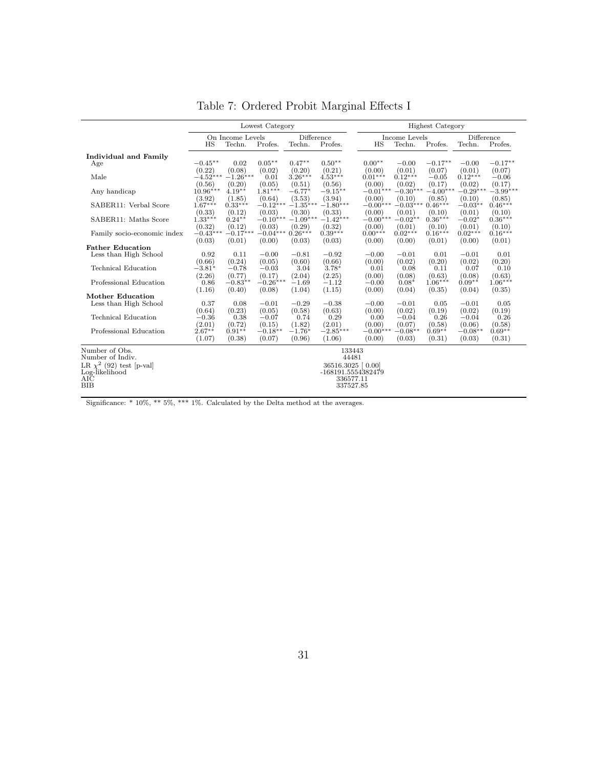<span id="page-31-0"></span>

|                               |                      |                     | Lowest Category      |                      |                      |                      |                      | <b>Highest Category</b> |                      |                      |
|-------------------------------|----------------------|---------------------|----------------------|----------------------|----------------------|----------------------|----------------------|-------------------------|----------------------|----------------------|
|                               |                      | On Income Levels    |                      | Difference           |                      |                      | Income Levels        |                         | Difference           |                      |
|                               | HS                   | Techn.              | Profes.              | Techn.               | Profes.              | HS                   | Techn.               | Profes.                 | Techn.               | Profes.              |
| <b>Individual and Family</b>  |                      |                     |                      |                      |                      |                      |                      |                         |                      |                      |
| Age                           | $-0.45**$            | 0.02                | $0.05**$             | $0.47**$             | $0.50**$             | $0.00**$             | $-0.00$              | $-0.17**$               | $-0.00$              | $-0.17**$            |
|                               | (0.22)               | (0.08)              | (0.02)               | (0.20)               | (0.21)               | (0.00)               | (0.01)               | (0.07)                  | (0.01)               | (0.07)               |
| Male                          | $-4.52***$           | $-1.26***$          | 0.01                 | $3.26***$            | $4.53***$            | $0.01***$            | $0.12***$            | $-0.05$                 | $0.12***$            | $-0.06$              |
| Any handicap                  | (0.56)<br>$10.96***$ | (0.20)<br>$4.19**$  | (0.05)<br>$1.81***$  | (0.51)<br>$-6.77*$   | (0.56)<br>$-9.15**$  | (0.00)<br>$-0.01***$ | (0.02)<br>$-0.30***$ | (0.17)<br>$-4.00***$    | (0.02)<br>$-0.29***$ | (0.17)<br>$-3.99***$ |
| SABER11: Verbal Score         | (3.92)<br>$1.67***$  | (1.85)<br>$0.33***$ | (0.64)<br>$-0.12***$ | (3.53)<br>$-1.35***$ | (3.94)<br>$-1.80***$ | (0.00)<br>$-0.00***$ | (0.10)<br>$-0.03***$ | (0.85)<br>$0.46***$     | (0.10)<br>$-0.03**$  | (0.85)<br>$0.46***$  |
|                               | (0.33)               | (0.12)              | (0.03)               | (0.30)               | (0.33)               | (0.00)               | (0.01)               | (0.10)                  | (0.01)               | (0.10)               |
| SABER11: Maths Score          | $1.33***$            | $0.24**$            | $-0.10***$           | $-1.09***$           | $-1.42***$           | $-0.00***$           | $-0.02**$            | $0.36***$               | $-0.02*$             | $0.36***$            |
|                               | (0.32)               | (0.12)              | (0.03)               | (0.29)               | (0.32)               | (0.00)               | (0.01)               | (0.10)                  | (0.01)               | (0.10)               |
| Family socio-economic index   | $-0.43$ **           | $-0.17***$          | $-0.04***$           | $0.26***$            | $0.39***$            | $0.00***$            | $0.02***$            | $0.16***$               | $0.02***$            | $0.16***$            |
|                               | (0.03)               | (0.01)              | (0.00)               | (0.03)               | (0.03)               | (0.00)               | (0.00)               | (0.01)                  | (0.00)               | (0.01)               |
| <b>Father Education</b>       |                      |                     |                      |                      |                      |                      |                      |                         |                      |                      |
| Less than High School         | 0.92                 | 0.11                | $-0.00$              | $-0.81$              | $-0.92$              | $-0.00$              | $-0.01$              | 0.01                    | $-0.01$              | 0.01                 |
|                               | (0.66)               | (0.24)              | (0.05)               | (0.60)               | (0.66)               | (0.00)               | (0.02)               | (0.20)                  | (0.02)               | (0.20)               |
| Technical Education           | $-3.81*$             | $-0.78$             | $-0.03$              | 3.04                 | $3.78*$              | 0.01                 | 0.08                 | 0.11                    | 0.07                 | 0.10                 |
| Professional Education        | (2.26)<br>0.86       | (0.77)<br>$-0.83**$ | (0.17)<br>$-0.26***$ | (2.04)<br>$-1.69$    | (2.25)<br>$-1.12$    | (0.00)<br>$-0.00$    | (0.08)<br>$0.08*$    | (0.63)<br>$1.06***$     | (0.08)<br>$0.09**$   | (0.63)<br>$1.06***$  |
|                               | (1.16)               | (0.40)              | (0.08)               | (1.04)               | (1.15)               | (0.00)               | (0.04)               | (0.35)                  | (0.04)               | (0.35)               |
| <b>Mother Education</b>       |                      |                     |                      |                      |                      |                      |                      |                         |                      |                      |
| Less than High School         | 0.37                 | 0.08                | $-0.01$              | $-0.29$              | $-0.38$              | $-0.00$              | $-0.01$              | 0.05                    | $-0.01$              | 0.05                 |
|                               | (0.64)               | (0.23)              | (0.05)               | (0.58)               | (0.63)               | (0.00)               | (0.02)               | (0.19)                  | (0.02)               | (0.19)               |
| Technical Education           | $-0.36$              | 0.38                | $-0.07$              | 0.74                 | 0.29                 | 0.00                 | $-0.04$              | 0.26                    | $-0.04$              | 0.26                 |
|                               | (2.01)               | (0.72)              | (0.15)               | (1.82)               | (2.01)               | (0.00)               | (0.07)               | (0.58)                  | (0.06)               | (0.58)               |
| Professional Education        | $2.67**$             | $0.91**$            | $-0.18**$            | $-1.76*$             | $-2.85***$           | $-0.00***$           | $-0.08**$            | $0.69**$                | $-0.08**$            | $0.69**$             |
|                               | (1.07)               | (0.38)              | (0.07)               | (0.96)               | (1.06)               | (0.00)               | (0.03)               | (0.31)                  | (0.03)               | (0.31)               |
| Number of Obs.                |                      |                     |                      |                      | 133443               |                      |                      |                         |                      |                      |
| Number of Indiv.              |                      |                     |                      |                      | 44481                |                      |                      |                         |                      |                      |
| LR $\chi^2$ (92) test [p-val] |                      |                     |                      |                      | 36516.3025 [0.00]    |                      |                      |                         |                      |                      |
| Log-likelihood                |                      |                     |                      |                      | -168191.5554382479   |                      |                      |                         |                      |                      |
| АIČ                           |                      |                     |                      |                      | 336577.11            |                      |                      |                         |                      |                      |
| ВIВ                           |                      |                     |                      |                      | 337527.85            |                      |                      |                         |                      |                      |
|                               |                      |                     |                      |                      |                      |                      |                      |                         |                      |                      |

Table 7: Ordered Probit Marginal Effects I

Significance: \* 10%, \*\*\* 5%, \*\*\* 1%. Calculated by the Delta method at the averages.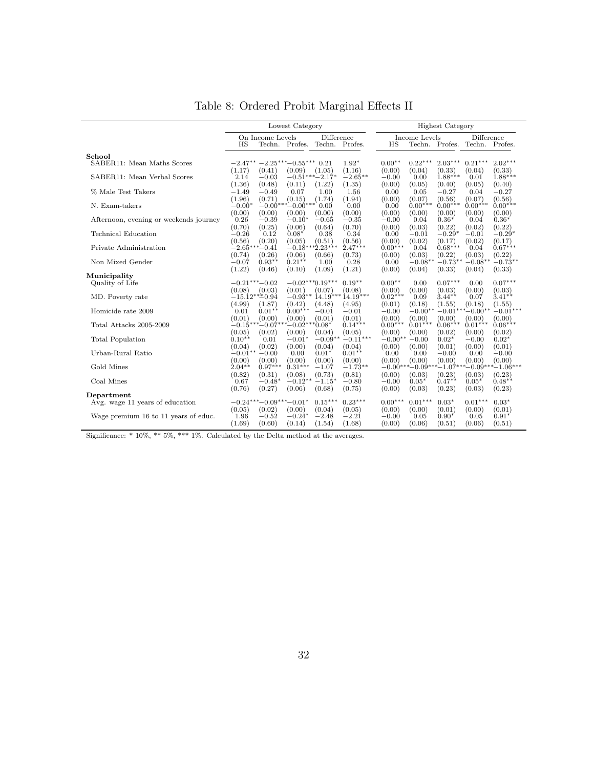<span id="page-32-0"></span>

|                                        |                 |                            | Lowest Category |                                             |                      |                   |                | <b>Highest Category</b>       |                |                     |
|----------------------------------------|-----------------|----------------------------|-----------------|---------------------------------------------|----------------------|-------------------|----------------|-------------------------------|----------------|---------------------|
|                                        | HS              | On Income Levels           |                 | Difference<br>Techn. Profes. Techn. Profes. |                      | ΗS                | Income Levels  | Techn. Profes. Techn. Profes. | Difference     |                     |
| School                                 |                 |                            |                 |                                             |                      | $0.00**$          | $0.22***$      | $2.03***$                     | $0.21***$      | $2.02***$           |
| SABER11: Mean Maths Scores             |                 | $-2.47***-2.25***-0.55***$ |                 | 0.21                                        | $1.92*$              |                   |                |                               |                |                     |
| SABER11: Mean Verbal Scores            | (1.17)<br>2.14  | (0.41)<br>$-0.03$          | (0.09)          | (1.05)<br>$-0.51***-2.17*$                  | (1.16)<br>$-2.65***$ | (0.00)<br>$-0.00$ | (0.04)<br>0.00 | (0.33)<br>$1.88***$           | (0.04)<br>0.01 | (0.33)<br>$1.88***$ |
|                                        | (1.36)          | (0.48)                     | (0.11)          | (1.22)                                      | (1.35)               | (0.00)            | (0.05)         | (0.40)                        | (0.05)         | (0.40)              |
| % Male Test Takers                     | $-1.49$         | $-0.49$                    | 0.07            | 1.00                                        | 1.56                 | 0.00              | 0.05           | $-0.27$                       | 0.04           | $-0.27$             |
|                                        | (1.96)          | (0.71)                     | (0.15)          | (1.74)                                      | (1.94)               | (0.00)            | (0.07)         | (0.56)                        | (0.07)         | (0.56)              |
| N. Exam-takers                         | $-0.00*$        | $-0.00*$                   | $-0.00***$      | 0.00                                        | 0.00                 | 0.00              | $0.00***$      | $0.00***$                     | $0.00***$      | $0.00***$           |
|                                        | (0.00)          | (0.00)                     | (0.00)          | (0.00)                                      | (0.00)               | (0.00)            | (0.00)         | (0.00)                        | (0.00)         | (0.00)              |
| Afternoon, evening or weekends journey | 0.26            | $-0.39$                    | $-0.10*$        | $-0.65$                                     | $-0.35$              | $-0.00$           | 0.04           | $0.36*$                       | 0.04           | $0.36*$             |
|                                        | (0.70)          | (0.25)                     | (0.06)          | (0.64)                                      | (0.70)               | (0.00)            | (0.03)         | (0.22)                        | (0.02)         | (0.22)              |
| Technical Education                    | $-0.26$         | 0.12                       | $0.08*$         | 0.38                                        | 0.34                 | 0.00              | $-0.01$        | $-0.29*$                      | $-0.01$        | $-0.29*$            |
|                                        | (0.56)          | (0.20)                     | (0.05)          | (0.51)                                      | (0.56)               | (0.00)            | (0.02)         | (0.17)                        | (0.02)         | (0.17)              |
| Private Administration                 | $-2.65*$        | $-0.41$                    | $-0.18*$        | $*2.23***$                                  | $2.47***$            | $0.00***$         | 0.04           | $0.68***$                     | 0.04           | $0.67***$           |
|                                        | (0.74)          | (0.26)                     | (0.06)          | (0.66)                                      | (0.73)               | (0.00)            | (0.03)         | (0.22)                        | (0.03)         | (0.22)              |
| Non Mixed Gender                       | $-0.07$         | $0.93**$                   | $0.21**$        | 1.00                                        | 0.28                 | 0.00              | $-0.08**$      | $-0.73**$                     | $-0.08**$      | $-0.73**$           |
|                                        | (1.22)          | (0.46)                     | (0.10)          | (1.09)                                      | (1.21)               | (0.00)            | (0.04)         | (0.33)                        | (0.04)         | (0.33)              |
| Municipality                           |                 |                            |                 |                                             |                      |                   |                |                               |                |                     |
| Quality of Life                        | $-0.21***-0.02$ |                            |                 | $-0.02***0.19***$                           | $0.19**$             | $0.00**$          | 0.00           | $0.07***$                     | 0.00           | $0.07***$           |
|                                        | (0.08)          | (0.03)                     | (0.01)          | (0.07)                                      | (0.08)               | (0.00)            | (0.00)         | (0.03)                        | (0.00)         | (0.03)              |
| MD. Poverty rate                       | $-15.12***0.94$ |                            | $-0.93**$       |                                             | $14.19***14.19***$   | $0.02***$         | 0.09           | $3.44***$                     | 0.07           | $3.41***$           |
|                                        | (4.99)          | (1.87)                     | (0.42)          | (4.48)                                      | (4.95)               | (0.01)            | (0.18)         | (1.55)                        | (0.18)         | (1.55)              |
| Homicide rate 2009                     | 0.01            | $0.01**$                   | $0.00***$       | $-0.01$                                     | $-0.01$              | $-0.00$           | $-0.00*$       | $-0.01*$                      | $*$ -0.00 $*$  | $-0.01***$          |
|                                        | (0.01)          | (0.00)                     | (0.00)          | (0.01)                                      | (0.01)               | (0.00)            | (0.00)         | (0.00)                        | (0.00)         | (0.00)              |
| Total Attacks 2005-2009                | $-0.15***-0.07$ |                            | $-0.02*$        | $^*0.08*$                                   | $0.14***$            | $0.00***$         | $0.01***$      | $0.06***$                     | $0.01***$      | $0.06***$           |
|                                        | (0.05)          | (0.02)                     | (0.00)          | (0.04)                                      | (0.05)               | (0.00)            | (0.00)         | (0.02)                        | (0.00)         | (0.02)              |
| <b>Total Population</b>                | $0.10**$        | 0.01                       | $-0.01*$        | $-0.09**$                                   | $-0.11***$           | $-0.00**$         | $-0.00$        | $0.02*$                       | $-0.00$        | $0.02*$             |
|                                        | (0.04)          | (0.02)                     | (0.00)          | (0.04)                                      | (0.04)               | (0.00)            | (0.00)         | (0.01)                        | (0.00)         | (0.01)              |
| Urban-Rural Ratio                      | $-0.01**$       | $-0.00$                    | 0.00            | $0.01*$                                     | $0.01**$             | 0.00              | 0.00           | $-0.00$                       | 0.00           | $-0.00$             |
|                                        | (0.00)          | (0.00)                     | (0.00)          | (0.00)                                      | (0.00)               | (0.00)            | (0.00)         | (0.00)                        | (0.00)         | (0.00)              |
| Gold Mines                             | $2.04**$        | $0.97***$                  | $0.31***$       | $-1.07$                                     | $-1.73**$            | $-0.00***-0.09*$  |                | $^*$ $-1.07$                  | $^{*}=0.09$ ** | $^*$ - 1.06***      |
|                                        | (0.82)          | (0.31)                     | (0.08)          | (0.73)                                      | (0.81)               | (0.00)            | (0.03)         | (0.23)                        | (0.03)         | (0.23)              |
| Coal Mines                             | 0.67            | $-0.48*$                   | $-0.12**$       | $-1.15*$                                    | $-0.80$              | $-0.00$           | $0.05*$        | $0.47**$                      | $0.05*$        | $0.48**$            |
|                                        | (0.76)          | (0.27)                     | (0.06)          | (0.68)                                      | (0.75)               | (0.00)            | (0.03)         | (0.23)                        | (0.03)         | (0.23)              |
| Department                             |                 |                            |                 |                                             |                      |                   |                |                               |                |                     |
| Avg. wage 11 years of education        |                 | $-0.24***-0.09***-0.01*$   |                 | $0.15***$                                   | $0.23***$            | $0.00***$         | $0.01***$      | $0.03*$                       | $0.01***$      | $0.03*$             |
|                                        | (0.05)          | (0.02)                     | (0.00)          | (0.04)                                      | (0.05)               | (0.00)            | (0.00)         | (0.01)                        | (0.00)         | (0.01)              |
| Wage premium 16 to 11 years of educ.   | 1.96            | $-0.52$                    | $-0.24*$        | $-2.48$                                     | $-2.21$              | $-0.00$           | 0.05           | $0.90*$                       | 0.05           | $0.91*$             |
|                                        | (1.69)          | (0.60)                     | (0.14)          | (1.54)                                      | (1.68)               | (0.00)            | (0.06)         | (0.51)                        | (0.06)         | (0.51)              |

Table 8: Ordered Probit Marginal Effects II

Significance: \* 10%, \*\* 5%, \*\*\* 1%. Calculated by the Delta method at the averages.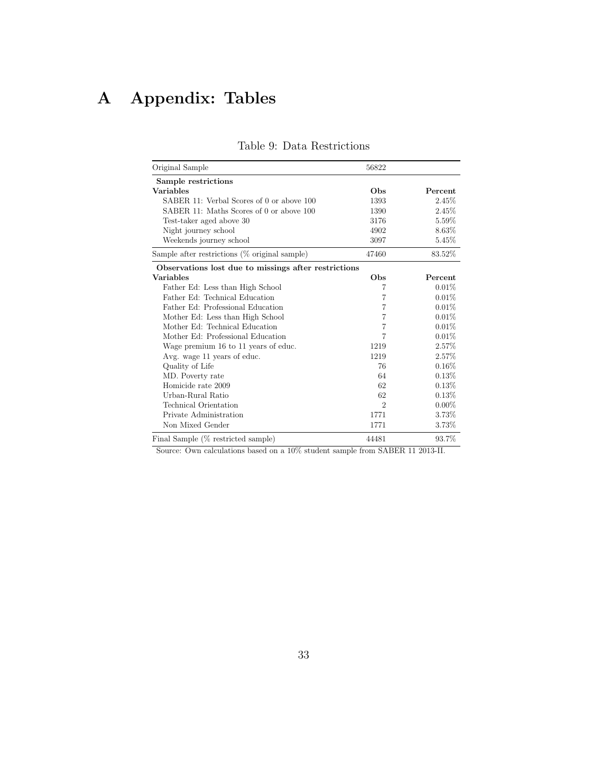# <span id="page-33-1"></span><span id="page-33-0"></span>A Appendix: Tables

| Original Sample                                      | 56822          |          |
|------------------------------------------------------|----------------|----------|
| Sample restrictions                                  |                |          |
| <b>Variables</b>                                     | Obs            | Percent  |
| SABER 11: Verbal Scores of 0 or above 100            | 1393           | 2.45%    |
| SABER 11: Maths Scores of 0 or above 100             | 1390           | 2.45\%   |
| Test-taker aged above 30                             | 3176           | 5.59%    |
| Night journey school                                 | 4902           | 8.63%    |
| Weekends journey school                              | 3097           | 5.45\%   |
| Sample after restrictions (% original sample)        | 47460          | 83.52%   |
| Observations lost due to missings after restrictions |                |          |
| <b>Variables</b>                                     | <b>Obs</b>     | Percent  |
| Father Ed: Less than High School                     | 7              | 0.01%    |
| Father Ed: Technical Education                       | 7              | 0.01%    |
| Father Ed: Professional Education                    | 7              | 0.01%    |
| Mother Ed: Less than High School                     | 7              | 0.01%    |
| Mother Ed: Technical Education                       | 7              | 0.01%    |
| Mother Ed: Professional Education                    | 7              | 0.01%    |
| Wage premium 16 to 11 years of educ.                 | 1219           | 2.57%    |
| Avg. wage 11 years of educ.                          | 1219           | 2.57%    |
| Quality of Life                                      | 76             | $0.16\%$ |
| MD. Poverty rate                                     | 64             | 0.13%    |
| Homicide rate 2009                                   | 62             | 0.13%    |
| Urban-Rural Ratio                                    | 62             | 0.13%    |
| Technical Orientation                                | $\mathfrak{D}$ | $0.00\%$ |
| Private Administration                               | 1771           | 3.73%    |
| Non Mixed Gender                                     | 1771           | 3.73%    |
| Final Sample (% restricted sample)                   | 44481          | 93.7%    |

#### Table 9: Data Restrictions

Source: Own calculations based on a  $10\%$  student sample from SABER 11 2013-II.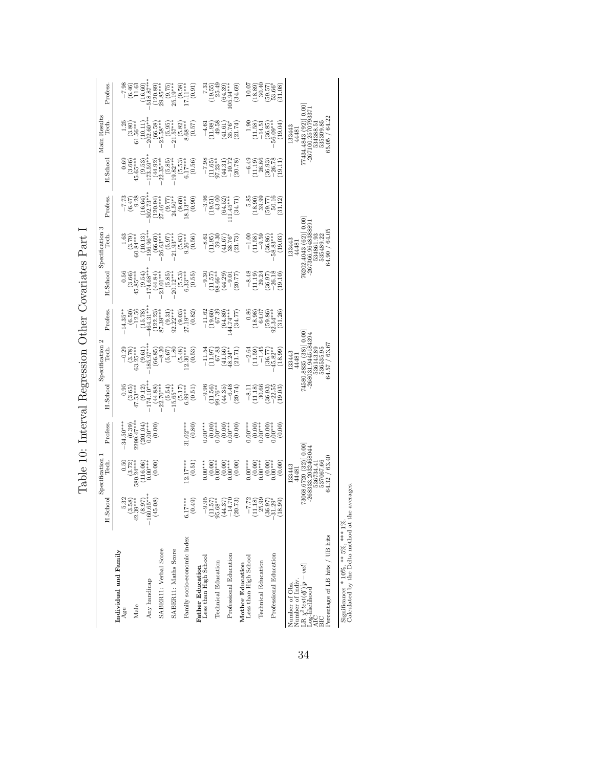Table 10: Interval Regression Other Covariates Part I Table 10: Interval Regression Other Covariates Part I

<span id="page-34-0"></span>

|                                                                              |                                                                                        | Specification                                             |                         |                                                             | Specification 2                                                                             |                                                                           |                                                               | Specification 3                                                                     |                                                                        |                                                                                    |                                                                                                    |                                                                         |
|------------------------------------------------------------------------------|----------------------------------------------------------------------------------------|-----------------------------------------------------------|-------------------------|-------------------------------------------------------------|---------------------------------------------------------------------------------------------|---------------------------------------------------------------------------|---------------------------------------------------------------|-------------------------------------------------------------------------------------|------------------------------------------------------------------------|------------------------------------------------------------------------------------|----------------------------------------------------------------------------------------------------|-------------------------------------------------------------------------|
|                                                                              | H.School                                                                               | Tech.                                                     | Profess.                | H.Schoo                                                     | Tech                                                                                        | Profess.                                                                  | H.Schoo                                                       | Tech.                                                                               | Profess.                                                               | H.School                                                                           | Main Results<br>Tech.                                                                              | Profess                                                                 |
| Individual and Family<br>Age                                                 |                                                                                        | 0.50                                                      | $34.50***$              |                                                             |                                                                                             | $14.35**$                                                                 |                                                               |                                                                                     |                                                                        |                                                                                    |                                                                                                    |                                                                         |
| Male                                                                         | $\ddot{a}$                                                                             | $(3.72)$<br>$580.24***$                                   | $2299.47***$<br>(6.39)  | $(3.65)$<br>47.53***                                        |                                                                                             |                                                                           | $(3.66)$<br>(3.66)<br>45.85***                                |                                                                                     |                                                                        | $(3.66)$<br>45.65***                                                               |                                                                                                    |                                                                         |
| Any handicap                                                                 | $\begin{array}{c} 5.32 \\ 0.58 \\ 39* \\ 0.65^{**} \\ 0.65^{**} \end{array}$<br>$-160$ | $(116.06)$<br>$0.00***$                                   | $(201.04)$<br>$0.00***$ | 174.10*<br>(9.12)                                           | $\begin{array}{c} -0.29 \\ (3.78) \\ 63.25*** \\ (9.61) \\ (9.61) \\ 185.97*** \end{array}$ | $\begin{array}{c} (6.50) \\ -12.56 \\ (15.78) \\ 464.31^{**} \end{array}$ | $^{(9.54)}_{174.68***}$                                       | $\begin{array}{c} 1.63 \\ (3.79) \\ (60.84*** \\ (10.13) \\ (10.13) \\ \end{array}$ | $-7.73$<br>$(6.47)$<br>$9.28$<br>$(16.64)$<br>$(16.64)$<br>$502.73***$ | $\frac{(9.53)}{173.59}$                                                            | $\begin{array}{c} 1.25 \\ (3.80) \\ 61.56^{***} \\ (10.11) \\ (10.11) \\ 202.60^{***} \end{array}$ | $-7.98$<br>$(6.46)$<br>$(1.61)$<br>$(16.60)$<br>$(16.60)$<br>$518.87**$ |
| SABER11: Verbal Score                                                        | (45.08)                                                                                | (0.00)                                                    | (0.00)                  | $(44.88)$<br>$-22.70***$                                    | (66.85)<br>$-8.20$                                                                          | $(122.23)$<br>87.39***                                                    | $\begin{pmatrix} 44.84 \\ 23.01 \end{pmatrix}$                | $(66.60)$<br>$26.63***$                                                             | $(120.94)$<br>$27.46***$                                               | $(44.92)$<br>$22.35***$                                                            | $(66.58)$<br>$25.58***$                                                                            | $(120.89)$<br>29.85***                                                  |
| SABERI1: Maths Score                                                         |                                                                                        |                                                           |                         | $-15.65***$                                                 | $\begin{array}{c} (5.67) \\ 1.80 \\ (5.48) \\ 12.30^{***} \end{array}$                      | $92.22***$                                                                | $20.12***$                                                    | $(5.97)$<br>$(10.37)$                                                               | $(9.77)$<br>$24.50**$                                                  | $-19.82***$                                                                        | $(5.95)$<br>21.57***                                                                               | $(9.75)$<br>25.19***                                                    |
| Family socio-economic index                                                  | $\frac{1}{4}$<br>$\overline{5}$                                                        | $2.17***$                                                 | $81.02***$              | $(5.17)$<br>$6.99***$                                       |                                                                                             | $27.19***$                                                                | $(5.53)$<br>$6.33***$                                         | $(5.83)$<br>$9.26***$                                                               | $(9.60)$<br>18.13***                                                   | $(5.53)$<br>$6.17***$                                                              | $(5.82)$<br>8.68***                                                                                | $^{***}_{17.11***}$                                                     |
| <b>Father Education</b><br>Less than High School                             | (0.49)<br>$-9.95$                                                                      | (0.51)<br>$0.00***$                                       | (0.80)<br>$0.00***$     | $-9.96$<br>(0.51)                                           | (0.53)<br>$-11.54$                                                                          | (0.82)                                                                    | (0.55)                                                        | (0.56)<br>$-8.61$                                                                   | (0.90)<br>$-3.96$                                                      | (0.56)                                                                             | (0.57)<br>$-4.61$                                                                                  | (0.91)                                                                  |
| Technical Education                                                          |                                                                                        | $0.00**000*$                                              | (0.00)                  | $(11.56)$<br>$99.76**$<br>$(44.35)$<br>$-6.48$              |                                                                                             | $-11.62$<br>$(19.60)$<br>$67.39$<br>$(64.80)$<br>$(64.80)$<br>$144.74***$ | $\begin{array}{c}\n -9.30 \\  (11.57) \\  98.66\n\end{array}$ |                                                                                     | 43.00<br>(19.51)                                                       |                                                                                    | (11.98)                                                                                            | $\begin{array}{c} 7.31 \\[-4pt] 19.55 \\[-4pt] 25.49 \end{array}$       |
| Professional Education                                                       | $\begin{array}{c} (11.57) \\ 95.68^{**} \\ (44.37) \\ -14.70 \\ (20.73) \end{array}$   | (0.00)                                                    | (0.00)                  |                                                             | $\begin{array}{c} (11.97)\\ 67.83\\ 41.56)\\ 48.24^{*}\\ (21.71) \end{array}$               |                                                                           | (44.29)                                                       | (1.95)<br>59.30<br>59.76<br>58.73)<br>39.73)                                        | $(64.52)$<br>11.45***                                                  | $\begin{array}{r} -7.98 \\ -1.65) \\ -1.23^{*} \\ -10.72 \\ -10.72 \\ \end{array}$ | $\begin{pmatrix} 49.58 \\ 41.61 \\ 35.76 \\ 21.74 \end{pmatrix}$                                   | (64.39)<br>$105.94***$                                                  |
| Mother Education<br>Less than High School                                    |                                                                                        | (0.00)<br>$0.00***$                                       | (0.00)                  | (20.74)                                                     |                                                                                             | (34.77)                                                                   | (20.77)                                                       |                                                                                     | (34.71)                                                                |                                                                                    |                                                                                                    | (34.69)                                                                 |
| Technical Education                                                          | -7.72<br>11.18)<br>25.99                                                               | (0.00)                                                    | $0.00***$<br>$0.00**$   | $-8.11$<br>$\begin{array}{c} (11.18) \\ 30.66 \end{array}$  | $-2.64$<br>$(11.59)$<br>$-1.45$                                                             | 0.86<br>$\frac{18.98}{64.07}$                                             | $-8.48$<br>$\begin{pmatrix} 11.19 \\ 29.24 \end{pmatrix}$     | $-1.00$<br>(11.58)<br>$-9.56$                                                       | 5.85<br>(18.90)<br>39.99                                               | $\frac{-6.49}{(11.19)}$<br>26.86                                                   | 1.90<br>(11.58)<br>$-14.5j$                                                                        | $\begin{array}{c} 10.07 \\ 18.89 \\ 40.40 \end{array}$                  |
| Professional Education                                                       | 86.97)<br>1.29*                                                                        | (0.00)                                                    | $0.00^{0**}_{0**}$      | $\begin{array}{c} (36.93) \\ -22.55 \\ (19.03) \end{array}$ | $(36.77)$<br>45.82**                                                                        | $(59.86)$<br>92.34***                                                     | $(36.97)$<br>$-26.18$                                         | $\begin{smallmatrix} (36.86) \\ 58.83^{***} \end{smallmatrix}$                      | $(59.77)$<br>50.16                                                     | $(36.93)$<br>$-26.78$                                                              | $(36.85)$<br>$56.09***$                                                                            | $(59.57)$<br>$53.66*$                                                   |
|                                                                              | (18.99)                                                                                | (0.00)                                                    | (0.00)                  |                                                             | (18.99)                                                                                     | (31.26)                                                                   | (19.10)                                                       | (19.03)                                                                             | 31.12                                                                  | (19.11)                                                                            | (19.04)                                                                                            | (31.08)                                                                 |
| Number of Indiv.<br>Number of Obs.                                           |                                                                                        | .33443<br>44481                                           |                         |                                                             | 133443<br>44481                                                                             |                                                                           |                                                               | 133443<br>44481                                                                     |                                                                        |                                                                                    | 133443<br>44481                                                                                    |                                                                         |
| LR $\chi^2 test(df)[p-val]$<br>Log-likelihood<br>AIC                         |                                                                                        | 73068.6720 (32) [0.00]<br>-268333.2032468044<br>536734.41 |                         |                                                             | 74580.8835 (38) [0.00<br>$-268031.9445184394$<br>536143.89                                  |                                                                           |                                                               | 76202.4043 (62) [0.00]<br>-267366.9648388891<br>534861.93                           |                                                                        |                                                                                    | 77434.4843 (92) 0.00<br>$-267100.2570793371$<br>534388.51                                          |                                                                         |
| Percentage of LB hits / UB hits                                              |                                                                                        | 64.32 / 63.40<br>537067.66                                |                         |                                                             | 64.57 / 63.67<br>536535.95                                                                  |                                                                           |                                                               | 64.90 / 64.05<br>535489.22                                                          |                                                                        |                                                                                    | 65.05 / 64.22<br>535309.85                                                                         |                                                                         |
| Calculated by the Delta method at the<br>Significance: * 10%, ** 5%, *** 1%. | averages.                                                                              |                                                           |                         |                                                             |                                                                                             |                                                                           |                                                               |                                                                                     |                                                                        |                                                                                    |                                                                                                    |                                                                         |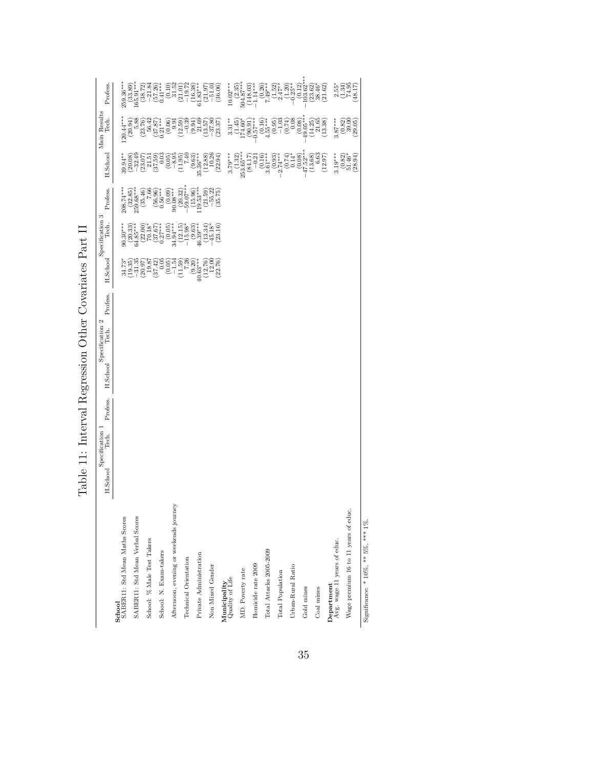<span id="page-35-0"></span>

| i<br>ļ                                                                                                                 |
|------------------------------------------------------------------------------------------------------------------------|
| $\frac{1}{2}$<br>$\mathfrak{c}$                                                                                        |
| くくもく<br>Í<br>ׇ֚֚֘֝֝<br>j<br>J<br>ζ                                                                                     |
| $\frac{1}{2}$<br>$\frac{1}{2}$                                                                                         |
| ֧֧֧֧֧֧֧֧֧֧֧֧֧֧֧֧֧֧֧֧֧֧֧֧֛֧֧֧֧֧֛֚֚֚֚֚֚֚֚֚֚֚֚֚֚֚֚֚֚֚֚֚֚֚֚֚֚֚֝֝֓֝֓֝֬֝֓֝֓֝֓֝֬֝֓֝֬֝֬֝֬֝֬֝֬֝֬֝֬֝֬֝֬<br>くうていてく<br>)<br>l<br>ļ |
| j<br>$\frac{1}{2}$<br>í<br>j<br>l<br>l<br>j<br>ŀ                                                                       |
| ł<br>۲<br>I                                                                                                            |
| )<br>}<br>}<br>l<br>Ï                                                                                                  |

|                                                                             | H.Schoo | Specification<br>Tech. | Profess. | H.Schoo | $\mathbf{\Omega}$<br>Specification<br>Tech. | Profess. | H.Schoo                                                                                                                                                                                                                                                                                                                            | Specification 3<br>Tech.                                           | Profess.                                                                                 | H.School                                                                                                                                                                                                                                                                                                                        | Main Results<br>Tech.                                                                                                                                                                                                                                                                                | Profess.                                                                                                                                                                                                                                                                                                                             |
|-----------------------------------------------------------------------------|---------|------------------------|----------|---------|---------------------------------------------|----------|------------------------------------------------------------------------------------------------------------------------------------------------------------------------------------------------------------------------------------------------------------------------------------------------------------------------------------|--------------------------------------------------------------------|------------------------------------------------------------------------------------------|---------------------------------------------------------------------------------------------------------------------------------------------------------------------------------------------------------------------------------------------------------------------------------------------------------------------------------|------------------------------------------------------------------------------------------------------------------------------------------------------------------------------------------------------------------------------------------------------------------------------------------------------|--------------------------------------------------------------------------------------------------------------------------------------------------------------------------------------------------------------------------------------------------------------------------------------------------------------------------------------|
| SABER11: Std Mean Maths Scores<br>School                                    |         |                        |          |         |                                             |          |                                                                                                                                                                                                                                                                                                                                    | $90.30***$                                                         |                                                                                          | $39.94***$                                                                                                                                                                                                                                                                                                                      | $-20.44***$                                                                                                                                                                                                                                                                                          | $259.36***$                                                                                                                                                                                                                                                                                                                          |
| SABERI1: Std Mean Verbal Scores                                             |         |                        |          |         |                                             |          | $\begin{array}{c} 34.73\\ -34.35\\ -19.35\\ -20.97\\ 19.87\\ 19.87 \end{array}$                                                                                                                                                                                                                                                    | $(20.33)$<br>$64.85***$<br>$(22.00)$<br>$70.18*$                   | $\begin{array}{c} 208.74^{***} \ (32.85) \ 259.68^{***} \ (35.46) \ (35.46) \end{array}$ | $\begin{array}{l} (20.08)\\[-2pt] (-32.49\\[-2pt] (-23.07)\\[-2pt] (-31.50)\\[-2pt] (-30.03)\\[-2pt] (-30.05)\\[-2pt] (-30.05)\\[-2pt] (-30.05)\\[-2pt] (-30.05)\\[-2pt] (-30.05)\\[-2pt] (-30.05)\\[-2pt] (-30.05)\\[-2pt] (-30.05)\\[-2pt] (-30.05)\\[-2pt] (-30.05)\\[-2pt] (-30.05)\\[-2pt] (-30.05)\\[-2pt] (-30.05)\\[-2$ | $\begin{smallmatrix} (20.94)\\ 5.88\\ 13.76)\\ (23.76)\\ 56.42\\ (37.87)\\ (37.87)\\ (37.87)\\ \end{smallmatrix}$                                                                                                                                                                                    | $\begin{smallmatrix} (33.89)\\ 165.91**\\ 28.72)\\ (38.72)\\ -21.84\\ (57.26)\\ (57.26)\\ (51.24)\\ (0.10)\\ (0.11)\\ 31.52 \end{smallmatrix}$                                                                                                                                                                                       |
| School: % Male Test Takers                                                  |         |                        |          |         |                                             |          |                                                                                                                                                                                                                                                                                                                                    |                                                                    |                                                                                          |                                                                                                                                                                                                                                                                                                                                 |                                                                                                                                                                                                                                                                                                      |                                                                                                                                                                                                                                                                                                                                      |
| School: N. Exam-takers                                                      |         |                        |          |         |                                             |          | $(37.42)$<br>$(0.05)$<br>$(0.05)$<br>$-1.54$                                                                                                                                                                                                                                                                                       | $\left( \begin{smallmatrix} 37.67 \\ 27 \end{smallmatrix} \right)$ | $(56.96)$<br>$0.56***$                                                                   |                                                                                                                                                                                                                                                                                                                                 |                                                                                                                                                                                                                                                                                                      |                                                                                                                                                                                                                                                                                                                                      |
| Afternoon, evening or weekends journey                                      |         |                        |          |         |                                             |          |                                                                                                                                                                                                                                                                                                                                    | $(0.05)$<br>34.94***                                               | (0.09)<br>$90.08***$                                                                     |                                                                                                                                                                                                                                                                                                                                 | (12.59)<br>(0.06)                                                                                                                                                                                                                                                                                    |                                                                                                                                                                                                                                                                                                                                      |
| Technical Orientation                                                       |         |                        |          |         |                                             |          | $\begin{array}{c} (11.59) \\ (05.7) \\ (07.9) \\ (07.9) \\ (08.4) \\ (09.5) \\ (09.5) \\ (09.5) \\ (09.5) \\ (09.5) \\ (09.5) \\ (09.5) \\ (09.5) \\ (09.5) \\ (09.5) \\ (09.5) \\ (09.5) \\ (09.5) \\ (09.5) \\ (09.5) \\ (09.5) \\ (09.5) \\ (09.5) \\ (09.5) \\ (09.5) \\ (09.5) \\ (09.5) \\ (09.5) \\ (09.5) \\ (09.5) \\ (0$ | $\begin{array}{c} (12.15) \\ -15.98^{*} \\ (9.63) \\ \end{array}$  | $(20.32)$<br>$59.07***$                                                                  |                                                                                                                                                                                                                                                                                                                                 | $\begin{array}{c} -0.39 \\ -0.94 \end{array}$                                                                                                                                                                                                                                                        |                                                                                                                                                                                                                                                                                                                                      |
| Private Administration                                                      |         |                        |          |         |                                             |          |                                                                                                                                                                                                                                                                                                                                    |                                                                    | $(15.96)$<br>119.53***                                                                   |                                                                                                                                                                                                                                                                                                                                 |                                                                                                                                                                                                                                                                                                      |                                                                                                                                                                                                                                                                                                                                      |
| Non Mixed Gender                                                            |         |                        |          |         |                                             |          | $(12.76)$<br>$12.00$<br>(22.76)                                                                                                                                                                                                                                                                                                    | (23.16)<br>$(13.34)$<br>-45.18*                                    | $\begin{array}{c} (21.59) \\ -55.22 \\ (35.75) \end{array}$                              | $(11.95) \newline (9.63) \newline (9.63) \newline (9.63) \newline (12.88) \newline (12.80) \newline (10.26)$                                                                                                                                                                                                                    | $\begin{array}{c} (13.57) \\ -37.80 \\ (23.37) \end{array}$                                                                                                                                                                                                                                          | $\begin{array}{c} (21.01)\\ -19.72\\ -19.33\\ (16.33)\\ 01.837\\ (21.97)\\ -51.01\\ (36.06) \end{array}$                                                                                                                                                                                                                             |
| $\begin{array}{c} \rm{Municipality}\\ \rm{Quality\ of\ Life}\\ \end{array}$ |         |                        |          |         |                                             |          |                                                                                                                                                                                                                                                                                                                                    |                                                                    |                                                                                          | $3.79***$                                                                                                                                                                                                                                                                                                                       | $3.31**$                                                                                                                                                                                                                                                                                             | $\begin{array}{c} 10.02***\\ (2.35)\\ 504.87*** \end{array}$                                                                                                                                                                                                                                                                         |
| MD. Poverty rate                                                            |         |                        |          |         |                                             |          |                                                                                                                                                                                                                                                                                                                                    |                                                                    |                                                                                          | $(1.32)$<br>$253.65***$                                                                                                                                                                                                                                                                                                         | $\frac{(1.45)}{(1.45)}$                                                                                                                                                                                                                                                                              |                                                                                                                                                                                                                                                                                                                                      |
| Homicide rate 2009                                                          |         |                        |          |         |                                             |          |                                                                                                                                                                                                                                                                                                                                    |                                                                    |                                                                                          | $\begin{array}{c} (84.17) \\ -0.21 \\ \left(0.16\right) \\ 3.61^{***} \end{array}$                                                                                                                                                                                                                                              | $-0.57***$                                                                                                                                                                                                                                                                                           |                                                                                                                                                                                                                                                                                                                                      |
| Total Attacks 2005-2009                                                     |         |                        |          |         |                                             |          |                                                                                                                                                                                                                                                                                                                                    |                                                                    |                                                                                          |                                                                                                                                                                                                                                                                                                                                 | $(0.16)$<br>4.55***                                                                                                                                                                                                                                                                                  |                                                                                                                                                                                                                                                                                                                                      |
| Total Population                                                            |         |                        |          |         |                                             |          |                                                                                                                                                                                                                                                                                                                                    |                                                                    |                                                                                          | $\begin{array}{r} (0.93) \\ -2.74** \\ (0.74) \\ (0.74) \\ 0.14* \end{array}$                                                                                                                                                                                                                                                   |                                                                                                                                                                                                                                                                                                      | $\begin{array}{c} (148.03) \\ -1.14*** \\ (0.26) \\ (1.52) \\ (1.52) \\ (1.52) \\ (1.20) \\ (1.20) \\ (1.21) \\ (1.20) \\ (1.21) \\ (1.22) \\ (1.23) \\ (1.24) \\ (1.25) \\ (1.25) \\ (1.26) \\ (1.27) \\ (1.28) \\ (1.29) \\ (1.20) \\ (1.21) \\ (1.22) \\ (1.23) \\ (1.24) \\ (1.25) \\ (1.25) \\ (1.26) \\ (1.27) \\ (1.28) \\ ($ |
| Urban-Rural Ratio                                                           |         |                        |          |         |                                             |          |                                                                                                                                                                                                                                                                                                                                    |                                                                    |                                                                                          |                                                                                                                                                                                                                                                                                                                                 |                                                                                                                                                                                                                                                                                                      |                                                                                                                                                                                                                                                                                                                                      |
| Gold mines                                                                  |         |                        |          |         |                                             |          |                                                                                                                                                                                                                                                                                                                                    |                                                                    |                                                                                          | $\begin{array}{r} (0.08) \\ -47.52^{**} \\ (13.68) \\ (13.63) \\ (12.97) \end{array}$                                                                                                                                                                                                                                           | $\begin{array}{c} (0.95)\\ -1.03\\ -1.03\\ (0.64)\\ (0.08)\\ (0.01)\\ (0.01)\\ (0.01)\\ (0.01)\\ (0.01)\\ (0.01)\\ (0.01)\\ (0.01)\\ (0.01)\\ (0.01)\\ (0.01)\\ (0.01)\\ (0.01)\\ (0.01)\\ (0.01)\\ (0.01)\\ (0.01)\\ (0.01)\\ (0.01)\\ (0.01)\\ (0.01)\\ (0.01)\\ (0.01)\\ (0.01)\\ (0.01)\\ (0.01$ | $\begin{array}{c} (0.12) \\ 103.62^* \\ (23.62) \\ 38.46^* \end{array}$                                                                                                                                                                                                                                                              |
| Coal mines                                                                  |         |                        |          |         |                                             |          |                                                                                                                                                                                                                                                                                                                                    |                                                                    |                                                                                          |                                                                                                                                                                                                                                                                                                                                 |                                                                                                                                                                                                                                                                                                      | (21.62)                                                                                                                                                                                                                                                                                                                              |
| Department $Avg.$ wage 11 years of educ.                                    |         |                        |          |         |                                             |          |                                                                                                                                                                                                                                                                                                                                    |                                                                    |                                                                                          | $3.19***$                                                                                                                                                                                                                                                                                                                       | $3.87***$                                                                                                                                                                                                                                                                                            | $\begin{pmatrix} 2.55^* \\ (-34) \\ 74.95 \end{pmatrix}$                                                                                                                                                                                                                                                                             |
| Wage premium 16 to 11 years of educ                                         |         |                        |          |         |                                             |          |                                                                                                                                                                                                                                                                                                                                    |                                                                    |                                                                                          | $\begin{pmatrix} 0.82 \\ 51.46^* \\ 28.94 \end{pmatrix}$                                                                                                                                                                                                                                                                        | $\begin{array}{c} (0.82) \\ 39.00 \\ (29.05) \end{array}$                                                                                                                                                                                                                                            | (48.17)                                                                                                                                                                                                                                                                                                                              |

Significance: \* 10%, \*\* 5%, \*\*\* 1%. Significance: \* 10%, \*\* 5%, \*\*\* 1%.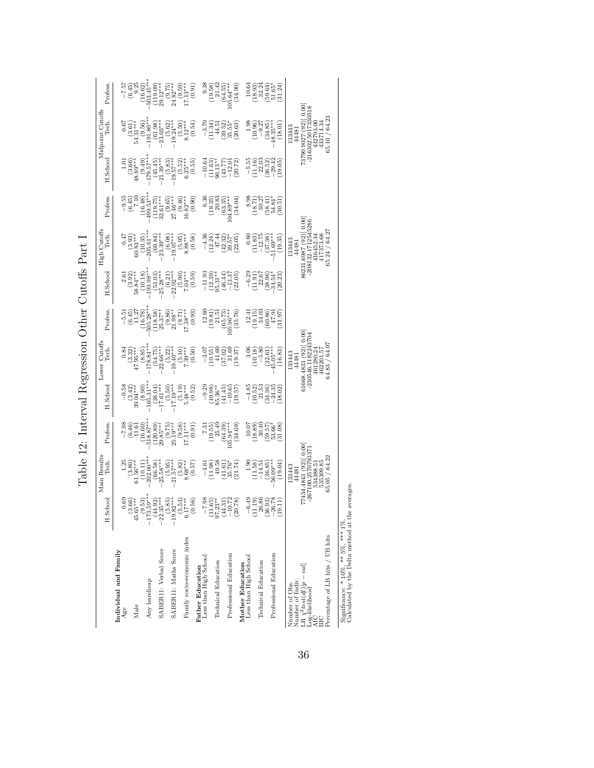<span id="page-36-0"></span>Table 12: Interval Regression Other Cutoffs Part I Table 12: Interval Regression Other Cutoffs Part I

|                                                  | H.School                                                                                                            | Main Results<br>Tech.                                          | Profess.                                                               | H.Schoo                                                                                                                                                                                                                                                                                    | Lower Cutoffs<br>Tech.                                                    | Profess.                                                                              | H.Schoo                                             | Cutoffs<br>Tech.<br>High                                      | Profess.                                                                    | H.Schoo                                                              | Midpoint Cutoffs<br>Tech.                                 | Profess.                                                                        |
|--------------------------------------------------|---------------------------------------------------------------------------------------------------------------------|----------------------------------------------------------------|------------------------------------------------------------------------|--------------------------------------------------------------------------------------------------------------------------------------------------------------------------------------------------------------------------------------------------------------------------------------------|---------------------------------------------------------------------------|---------------------------------------------------------------------------------------|-----------------------------------------------------|---------------------------------------------------------------|-----------------------------------------------------------------------------|----------------------------------------------------------------------|-----------------------------------------------------------|---------------------------------------------------------------------------------|
| Individual and Family<br>Age                     | 0.69                                                                                                                |                                                                |                                                                        |                                                                                                                                                                                                                                                                                            |                                                                           | $-5.51$                                                                               |                                                     |                                                               |                                                                             |                                                                      |                                                           |                                                                                 |
| Male                                             |                                                                                                                     | $\begin{array}{c} 1.25 \\ (3.80) \\ (61.56^{***}) \end{array}$ | $-7.98$<br>$(6.46)$<br>$(1.61)$<br>$(16.60)$<br>$(16.60)$<br>$(16.60)$ | $-0.58$<br>$-0.342$<br>$39.04***$                                                                                                                                                                                                                                                          | $47.95***$                                                                | $(6.45)$<br>11.27                                                                     | $(3.92)$<br>58.84***                                | $(3.93)$<br>$60.83***$                                        | $-9.5$<br>$(6.45)$                                                          | $\begin{pmatrix} 1.01 \\ 3.66 \\ 48.89^{***} \end{pmatrix}$          | $54.31***$                                                | $\frac{-7.57}{(6.45)}$                                                          |
|                                                  |                                                                                                                     | $(10.11)$<br>$202.60***$                                       |                                                                        | $(8.90)$<br>$165.31***$                                                                                                                                                                                                                                                                    | $178.84***$                                                               | $\begin{array}{c} (16.78) \\ 505.28*** \end{array}$                                   | $\begin{array}{c} (10.18) \\ 193.98*** \end{array}$ | $\frac{(10.35)}{205.61***}$                                   | $(16.48)$<br>$499.53**$                                                     | $^{*2.62}_{179.57}$                                                  | $\begin{array}{c} (9.56) \\ 191.80*** \end{array}$        | $(16.62)$<br>503.45**                                                           |
| Any handicap                                     |                                                                                                                     |                                                                |                                                                        |                                                                                                                                                                                                                                                                                            |                                                                           |                                                                                       |                                                     |                                                               |                                                                             |                                                                      |                                                           |                                                                                 |
| SABER11: Verbal Score                            |                                                                                                                     | $(66.58)$<br>$25.58***$                                        | $(120.89)$<br>$29.85***$                                               | $(38.04)$<br>17.61***                                                                                                                                                                                                                                                                      | $(54.75)$<br>$22.66***$                                                   | $\frac{(118.58)}{25.37}$                                                              | $(53.03)$<br>$25.28***$                             | $(69.84)$<br>$23.39***$                                       | $(119.75)$<br>32.61***                                                      | $\frac{(45.45)}{21.39***}$                                           | $\begin{pmatrix} 61.98 \\ 23.03*** \end{pmatrix}$         |                                                                                 |
| SABERI1: Maths Score                             |                                                                                                                     | $(5.95)$<br>$(5.95)$                                           | $(9.75)$<br>25.19***                                                   |                                                                                                                                                                                                                                                                                            | $-19.40***$                                                               |                                                                                       | $(6.21)$<br>$22.02***$                              | $-19.07***$                                                   |                                                                             | $-19.57***$                                                          | $-19.24***$                                               |                                                                                 |
| Family socio-economic index                      | $\begin{array}{r} (3.66) \\ 45.65 \\ 45.65 \\ -173.59 \\ -173.59 \\ -22.81 \\ -1.08 \\ -1.08 \\ \hline \end{array}$ | $(5.82)$<br>8.68***<br>(0.57)                                  | (0.91)<br>$\binom{9.58}{66.6}$                                         | $\begin{smallmatrix} (5.50)\\ (5.10)^{*}\\ (5.19)^{*}\\ (5.19)\\ 5.48^{***} \end{smallmatrix}$<br>(0.52)                                                                                                                                                                                   | (0.50)<br>$7.39***$                                                       | $\begin{array}{c} (9.86) \\ 21.98^{**} \\ (9.71) \\ 7.38^{***} \end{array}$<br>(0.93) | (66.5)<br>(0.59)                                    | (0.58)<br>$(5.95)$<br>8.88***                                 | $\frac{(9.65)}{27.46**}$<br>$\frac{(9.46)}{(9.46)}$<br>$16.82***$<br>(0.90) | $(5.52)$<br>$6.25***$<br>(0.55)                                      | $(5.50)$<br>8.12***<br>(0.54)                             | (0.91)<br>$(119.09)$<br>$(9.75)$<br>$(9.75)$<br>$(9.59)$<br>$(9.59)$<br>$(1.3)$ |
| <b>Father Education</b><br>Less than High School |                                                                                                                     | $-4.61$                                                        | 7.31                                                                   | $-9.29$                                                                                                                                                                                                                                                                                    | $-3.0$                                                                    |                                                                                       | $-11.93$                                            | $-4.36$                                                       | $\frac{3}{6}$                                                               | $-10.64$                                                             |                                                           |                                                                                 |
| Technical Education                              | $\begin{array}{r} -7.98 \\ (11.65) \\ 97.23^{**} \\ (44.31) \\ -10.72 \\ \end{array}$                               | (11.98)<br>49.58                                               | $(19.55)$<br>$25.49$                                                   | $(10.98)$<br>35.36**                                                                                                                                                                                                                                                                       | (10.55)<br>41.60                                                          | $\begin{array}{c} 12.60 \\ (19.81) \\ 21.5 \end{array}$                               | $(12.39)$<br>$6.31**$                               | $(12.24)$<br>$47.44$                                          | $(19.35)$<br>$20.8$                                                         | $\begin{array}{c} (11.63) \\ 90.13** \end{array}$                    | $\frac{-3.70}{11.34}$                                     | $\begin{array}{c} 9.38 \\ (19.58) \\ 21.42 \end{array}$                         |
|                                                  |                                                                                                                     | (41.61)                                                        | (64.39)                                                                | (41.45)                                                                                                                                                                                                                                                                                    | (37.02)                                                                   | (65.73)                                                                               | (46.44)                                             | $(42.32)$<br>$39.57*$                                         | (63.35)                                                                     | (43.77)                                                              | $(39.52)$<br>$35.55*$                                     | (64.55)                                                                         |
| Professional Education                           |                                                                                                                     | (21.74)<br>35.76 <sup>4</sup>                                  | (34.69)<br>$05.94***$                                                  | (19.57)<br>$-10.65$                                                                                                                                                                                                                                                                        | 31.66<br>(19.37)                                                          | (35.76)<br>$05.96***$                                                                 | (22.05)<br>$-13.37$                                 | (22.05)                                                       | (34.04)<br>$04.89**$                                                        | (20.72)<br>$-12.01$                                                  | (20.63)                                                   | (34.90)<br>$105.64***$                                                          |
| Mother Education<br>Less than High School        | $-6.49$                                                                                                             | $rac{5}{1}$                                                    | 10.07                                                                  | $-4.85$                                                                                                                                                                                                                                                                                    | 3.06                                                                      | 12.41                                                                                 | $-6.29$                                             | 0.80                                                          | 8.98                                                                        | $-5.55$                                                              | 1.98                                                      |                                                                                 |
| Technical Education                              | $\begin{array}{c} (11.19) \\ 26.86 \\ (36.93) \\ -26.78 \end{array}$                                                | (11.58)<br>$-14.5i$                                            | $(18.89)$<br>$30.40$                                                   |                                                                                                                                                                                                                                                                                            | $\begin{array}{c} (10.18) \\ -5.80 \end{array}$                           | $(19.15)$<br>$34.03$                                                                  | $\frac{(11.91)}{22.67}$                             | $\frac{(11.83)}{-12.75}$                                      | $\frac{18.71}{30.27}$                                                       | $\begin{array}{c} (11.16) \\ 22.03 \\ (36.52) \\ -29.42 \end{array}$ | (10.96)<br>$-9.2$                                         | $\begin{array}{c} 10.64 \\ 10.93 \\ 22.24 \\ 59.64 \\ 51.65 \end{array}$        |
| Professional Education                           | (9.11)                                                                                                              | $(36.85)$<br>$56.09***$<br>(19.04)                             | $(59.57)$<br>$53.66*$<br>(31.08)                                       | $\begin{array}{l} (10.52)\\ 21.53\\ 24.35\\ (34.35)\\ (10.52)\\ (10.52)\\ (10.52)\\ (10.52)\\ (10.52)\\ (10.52)\\ (10.52)\\ (10.52)\\ (10.52)\\ (10.52)\\ (10.52)\\ (10.52)\\ (10.52)\\ (10.52)\\ (10.52)\\ (10.52)\\ (10.52)\\ (10.52)\\ (10.52)\\ (10.52)\\ (10.52)\\ (10.52)\\ (10.52)$ | (16.83)<br>$(32.61)$<br>45.05***                                          | $(60.86)$<br>$(47.91)$<br>(31.97)                                                     | $(38.96)$<br>$34.54*$<br>(20.23)                    | $\begin{array}{c} (37.38) \\ 51.69*** \end{array}$<br>(19.35) | $(58.41)$<br>$54.84$ <sup>\$</sup><br>30.51                                 | (19.05)                                                              | $(34.85)$<br>$48.35***$<br>18.01                          | (31.24)                                                                         |
| Number of Indiv.<br>Number of Obs.               |                                                                                                                     | 33443<br>44481                                                 |                                                                        |                                                                                                                                                                                                                                                                                            | 133443<br>44481                                                           |                                                                                       |                                                     | 133443<br>44481                                               |                                                                             |                                                                      | 133443<br>44481                                           |                                                                                 |
| LR $\chi^2 test(df)[p - val]$ Log-likelihood     |                                                                                                                     | $77434.4843(92)[0.00]$<br>-267100.2570793371<br>534388.51      |                                                                        |                                                                                                                                                                                                                                                                                            | $\overline{0.00}$<br>$-230546.1182243704$<br>61668.4833 (92)<br>461280.24 |                                                                                       |                                                     | 86231.6987 (92)[0.00]<br>-208132.1712545286<br>416452.34      |                                                                             |                                                                      | 73790.9027 (92) 0.00<br>$-216302.5017330518$<br>432793.00 |                                                                                 |
| Percentage of LB hits / UB hits<br>ВIС           |                                                                                                                     | 65.05 / 64.22<br>535309.85                                     |                                                                        |                                                                                                                                                                                                                                                                                            | 64.83 / 64.07<br>462201.57                                                |                                                                                       |                                                     | 65.24 / 64.27<br>417373.68                                    |                                                                             |                                                                      | 65.10 / 64.23<br>433714.34                                |                                                                                 |

Significance: \* 10%, \*\* 5%, \*\*\* 1%. Calculated by the Delta method at the averages. Calculated by the Delta method at the averages. Significance:  $*$  10%,  $**$  5%,  $**$  1%.